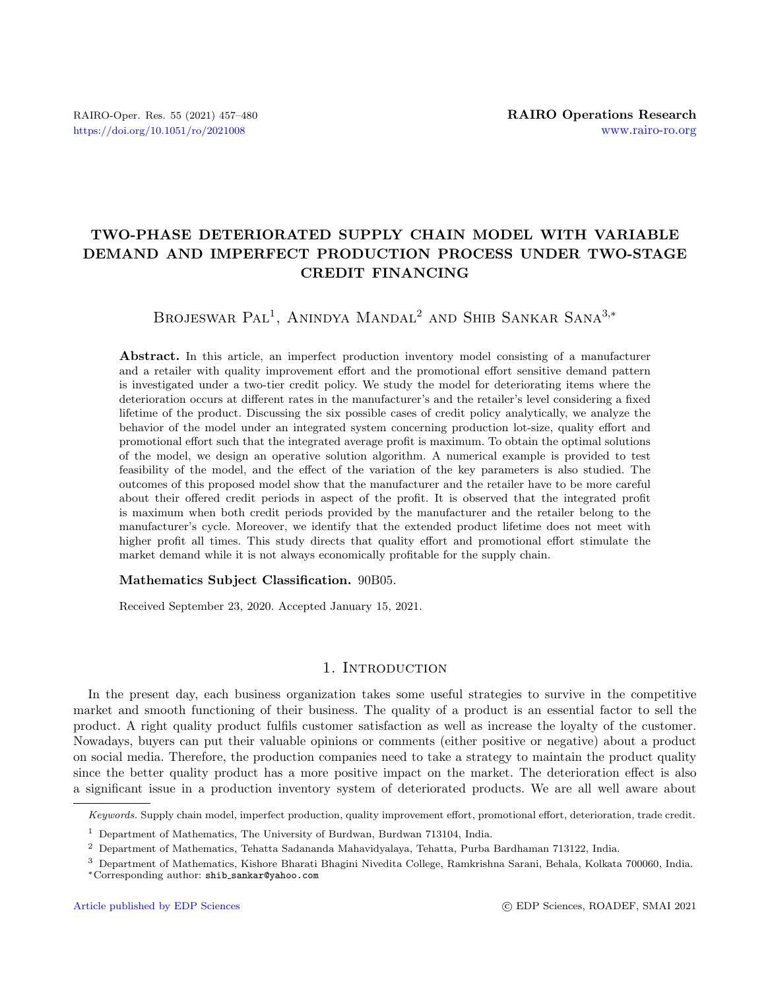# TWO-PHASE DETERIORATED SUPPLY CHAIN MODEL WITH VARIABLE DEMAND AND IMPERFECT PRODUCTION PROCESS UNDER TWO-STAGE CREDIT FINANCING

Brojeswar Pal<sup>1</sup>, Anindya Mandal<sup>2</sup> and Shib Sankar Sana<sup>3,\*</sup>

Abstract. In this article, an imperfect production inventory model consisting of a manufacturer and a retailer with quality improvement effort and the promotional effort sensitive demand pattern is investigated under a two-tier credit policy. We study the model for deteriorating items where the deterioration occurs at different rates in the manufacturer's and the retailer's level considering a fixed lifetime of the product. Discussing the six possible cases of credit policy analytically, we analyze the behavior of the model under an integrated system concerning production lot-size, quality effort and promotional effort such that the integrated average profit is maximum. To obtain the optimal solutions of the model, we design an operative solution algorithm. A numerical example is provided to test feasibility of the model, and the effect of the variation of the key parameters is also studied. The outcomes of this proposed model show that the manufacturer and the retailer have to be more careful about their offered credit periods in aspect of the profit. It is observed that the integrated profit is maximum when both credit periods provided by the manufacturer and the retailer belong to the manufacturer's cycle. Moreover, we identify that the extended product lifetime does not meet with higher profit all times. This study directs that quality effort and promotional effort stimulate the market demand while it is not always economically profitable for the supply chain.

#### Mathematics Subject Classification. 90B05.

Received September 23, 2020. Accepted January 15, 2021.

## 1. INTRODUCTION

In the present day, each business organization takes some useful strategies to survive in the competitive market and smooth functioning of their business. The quality of a product is an essential factor to sell the product. A right quality product fulfils customer satisfaction as well as increase the loyalty of the customer. Nowadays, buyers can put their valuable opinions or comments (either positive or negative) about a product on social media. Therefore, the production companies need to take a strategy to maintain the product quality since the better quality product has a more positive impact on the market. The deterioration effect is also a significant issue in a production inventory system of deteriorated products. We are all well aware about

Keywords. Supply chain model, imperfect production, quality improvement effort, promotional effort, deterioration, trade credit.

<sup>1</sup> Department of Mathematics, The University of Burdwan, Burdwan 713104, India.

<sup>2</sup> Department of Mathematics, Tehatta Sadananda Mahavidyalaya, Tehatta, Purba Bardhaman 713122, India.

<sup>3</sup> Department of Mathematics, Kishore Bharati Bhagini Nivedita College, Ramkrishna Sarani, Behala, Kolkata 700060, India. <sup>∗</sup>Corresponding author: shib [sankar@yahoo.com](mailto:shib_sankar@yahoo.com)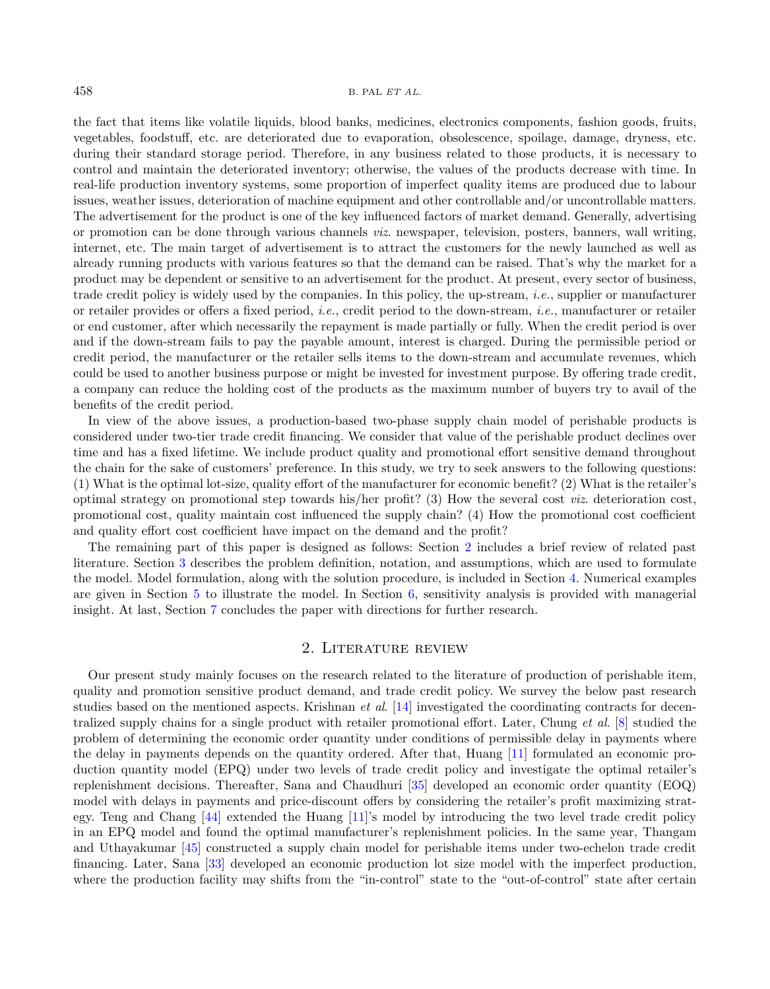the fact that items like volatile liquids, blood banks, medicines, electronics components, fashion goods, fruits, vegetables, foodstuff, etc. are deteriorated due to evaporation, obsolescence, spoilage, damage, dryness, etc. during their standard storage period. Therefore, in any business related to those products, it is necessary to control and maintain the deteriorated inventory; otherwise, the values of the products decrease with time. In real-life production inventory systems, some proportion of imperfect quality items are produced due to labour issues, weather issues, deterioration of machine equipment and other controllable and/or uncontrollable matters. The advertisement for the product is one of the key influenced factors of market demand. Generally, advertising or promotion can be done through various channels viz. newspaper, television, posters, banners, wall writing, internet, etc. The main target of advertisement is to attract the customers for the newly launched as well as already running products with various features so that the demand can be raised. That's why the market for a product may be dependent or sensitive to an advertisement for the product. At present, every sector of business, trade credit policy is widely used by the companies. In this policy, the up-stream, i.e., supplier or manufacturer or retailer provides or offers a fixed period, i.e., credit period to the down-stream, i.e., manufacturer or retailer or end customer, after which necessarily the repayment is made partially or fully. When the credit period is over and if the down-stream fails to pay the payable amount, interest is charged. During the permissible period or credit period, the manufacturer or the retailer sells items to the down-stream and accumulate revenues, which could be used to another business purpose or might be invested for investment purpose. By offering trade credit, a company can reduce the holding cost of the products as the maximum number of buyers try to avail of the benefits of the credit period.

In view of the above issues, a production-based two-phase supply chain model of perishable products is considered under two-tier trade credit financing. We consider that value of the perishable product declines over time and has a fixed lifetime. We include product quality and promotional effort sensitive demand throughout the chain for the sake of customers' preference. In this study, we try to seek answers to the following questions: (1) What is the optimal lot-size, quality effort of the manufacturer for economic benefit? (2) What is the retailer's optimal strategy on promotional step towards his/her profit? (3) How the several cost viz. deterioration cost, promotional cost, quality maintain cost influenced the supply chain? (4) How the promotional cost coefficient and quality effort cost coefficient have impact on the demand and the profit?

The remaining part of this paper is designed as follows: Section [2](#page-1-0) includes a brief review of related past literature. Section [3](#page-3-0) describes the problem definition, notation, and assumptions, which are used to formulate the model. Model formulation, along with the solution procedure, is included in Section [4.](#page-6-0) Numerical examples are given in Section [5](#page-17-0) to illustrate the model. In Section [6,](#page-18-0) sensitivity analysis is provided with managerial insight. At last, Section [7](#page-20-0) concludes the paper with directions for further research.

## 2. Literature review

<span id="page-1-0"></span>Our present study mainly focuses on the research related to the literature of production of perishable item, quality and promotion sensitive product demand, and trade credit policy. We survey the below past research studies based on the mentioned aspects. Krishnan *et al.* [\[14\]](#page-21-0) investigated the coordinating contracts for decentralized supply chains for a single product with retailer promotional effort. Later, Chung et al. [\[8\]](#page-21-1) studied the problem of determining the economic order quantity under conditions of permissible delay in payments where the delay in payments depends on the quantity ordered. After that, Huang [\[11\]](#page-21-2) formulated an economic production quantity model (EPQ) under two levels of trade credit policy and investigate the optimal retailer's replenishment decisions. Thereafter, Sana and Chaudhuri [\[35\]](#page-22-0) developed an economic order quantity (EOQ) model with delays in payments and price-discount offers by considering the retailer's profit maximizing strategy. Teng and Chang [\[44\]](#page-22-1) extended the Huang [\[11\]](#page-21-2)'s model by introducing the two level trade credit policy in an EPQ model and found the optimal manufacturer's replenishment policies. In the same year, Thangam and Uthayakumar [\[45\]](#page-22-2) constructed a supply chain model for perishable items under two-echelon trade credit financing. Later, Sana [\[33\]](#page-22-3) developed an economic production lot size model with the imperfect production, where the production facility may shifts from the "in-control" state to the "out-of-control" state after certain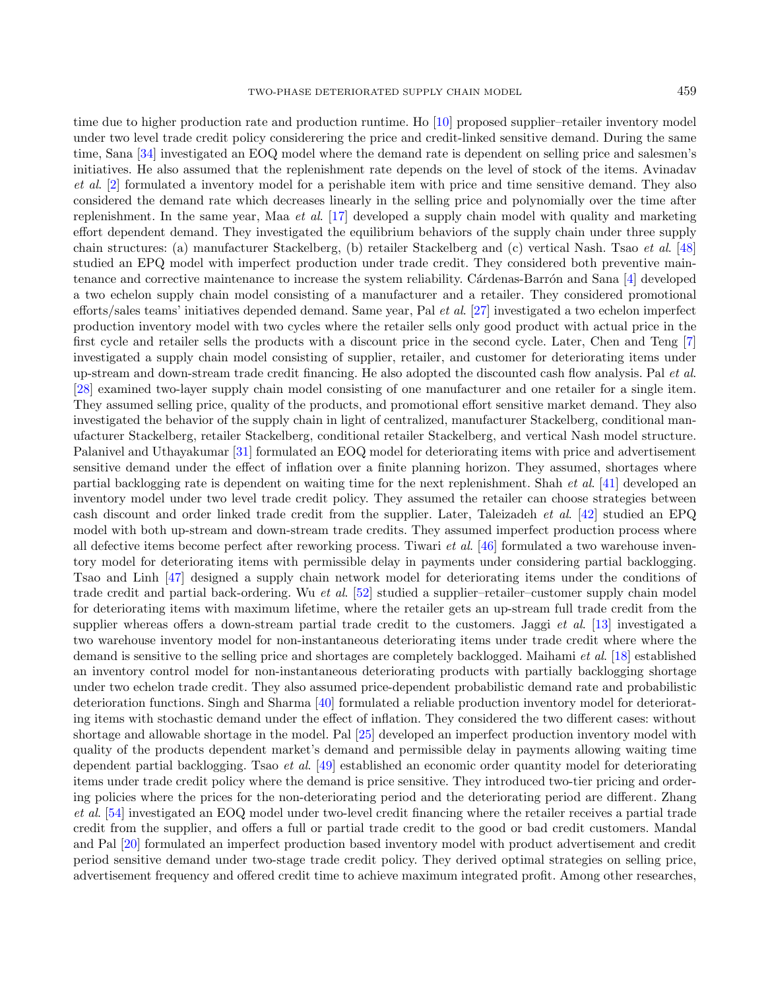time due to higher production rate and production runtime. Ho [\[10\]](#page-21-3) proposed supplier–retailer inventory model under two level trade credit policy considerering the price and credit-linked sensitive demand. During the same time, Sana [\[34\]](#page-22-4) investigated an EOQ model where the demand rate is dependent on selling price and salesmen's initiatives. He also assumed that the replenishment rate depends on the level of stock of the items. Avinadav et al. [\[2\]](#page-21-4) formulated a inventory model for a perishable item with price and time sensitive demand. They also considered the demand rate which decreases linearly in the selling price and polynomially over the time after replenishment. In the same year, Maa et al. [\[17\]](#page-21-5) developed a supply chain model with quality and marketing effort dependent demand. They investigated the equilibrium behaviors of the supply chain under three supply chain structures: (a) manufacturer Stackelberg, (b) retailer Stackelberg and (c) vertical Nash. Tsao et al. [\[48\]](#page-22-5) studied an EPQ model with imperfect production under trade credit. They considered both preventive main-tenance and corrective maintenance to increase the system reliability. Cárdenas-Barrón and Sana [\[4\]](#page-21-6) developed a two echelon supply chain model consisting of a manufacturer and a retailer. They considered promotional efforts/sales teams' initiatives depended demand. Same year, Pal et al. [\[27\]](#page-22-6) investigated a two echelon imperfect production inventory model with two cycles where the retailer sells only good product with actual price in the first cycle and retailer sells the products with a discount price in the second cycle. Later, Chen and Teng [\[7\]](#page-21-7) investigated a supply chain model consisting of supplier, retailer, and customer for deteriorating items under up-stream and down-stream trade credit financing. He also adopted the discounted cash flow analysis. Pal et al. [\[28\]](#page-22-7) examined two-layer supply chain model consisting of one manufacturer and one retailer for a single item. They assumed selling price, quality of the products, and promotional effort sensitive market demand. They also investigated the behavior of the supply chain in light of centralized, manufacturer Stackelberg, conditional manufacturer Stackelberg, retailer Stackelberg, conditional retailer Stackelberg, and vertical Nash model structure. Palanivel and Uthayakumar [\[31\]](#page-22-8) formulated an EOQ model for deteriorating items with price and advertisement sensitive demand under the effect of inflation over a finite planning horizon. They assumed, shortages where partial backlogging rate is dependent on waiting time for the next replenishment. Shah et al. [\[41\]](#page-22-9) developed an inventory model under two level trade credit policy. They assumed the retailer can choose strategies between cash discount and order linked trade credit from the supplier. Later, Taleizadeh et al. [\[42\]](#page-22-10) studied an EPQ model with both up-stream and down-stream trade credits. They assumed imperfect production process where all defective items become perfect after reworking process. Tiwari *et al.* [\[46\]](#page-22-11) formulated a two warehouse inventory model for deteriorating items with permissible delay in payments under considering partial backlogging. Tsao and Linh [\[47\]](#page-22-12) designed a supply chain network model for deteriorating items under the conditions of trade credit and partial back-ordering. Wu et al. [\[52\]](#page-22-13) studied a supplier–retailer–customer supply chain model for deteriorating items with maximum lifetime, where the retailer gets an up-stream full trade credit from the supplier whereas offers a down-stream partial trade credit to the customers. Jaggi *et al.* [\[13\]](#page-21-8) investigated a two warehouse inventory model for non-instantaneous deteriorating items under trade credit where where the demand is sensitive to the selling price and shortages are completely backlogged. Maihami et al. [\[18\]](#page-21-9) established an inventory control model for non-instantaneous deteriorating products with partially backlogging shortage under two echelon trade credit. They also assumed price-dependent probabilistic demand rate and probabilistic deterioration functions. Singh and Sharma [\[40\]](#page-22-14) formulated a reliable production inventory model for deteriorating items with stochastic demand under the effect of inflation. They considered the two different cases: without shortage and allowable shortage in the model. Pal [\[25\]](#page-22-15) developed an imperfect production inventory model with quality of the products dependent market's demand and permissible delay in payments allowing waiting time dependent partial backlogging. Tsao et al. [\[49\]](#page-22-16) established an economic order quantity model for deteriorating items under trade credit policy where the demand is price sensitive. They introduced two-tier pricing and ordering policies where the prices for the non-deteriorating period and the deteriorating period are different. Zhang et al. [\[54\]](#page-23-0) investigated an EOQ model under two-level credit financing where the retailer receives a partial trade credit from the supplier, and offers a full or partial trade credit to the good or bad credit customers. Mandal and Pal [\[20\]](#page-21-10) formulated an imperfect production based inventory model with product advertisement and credit period sensitive demand under two-stage trade credit policy. They derived optimal strategies on selling price, advertisement frequency and offered credit time to achieve maximum integrated profit. Among other researches,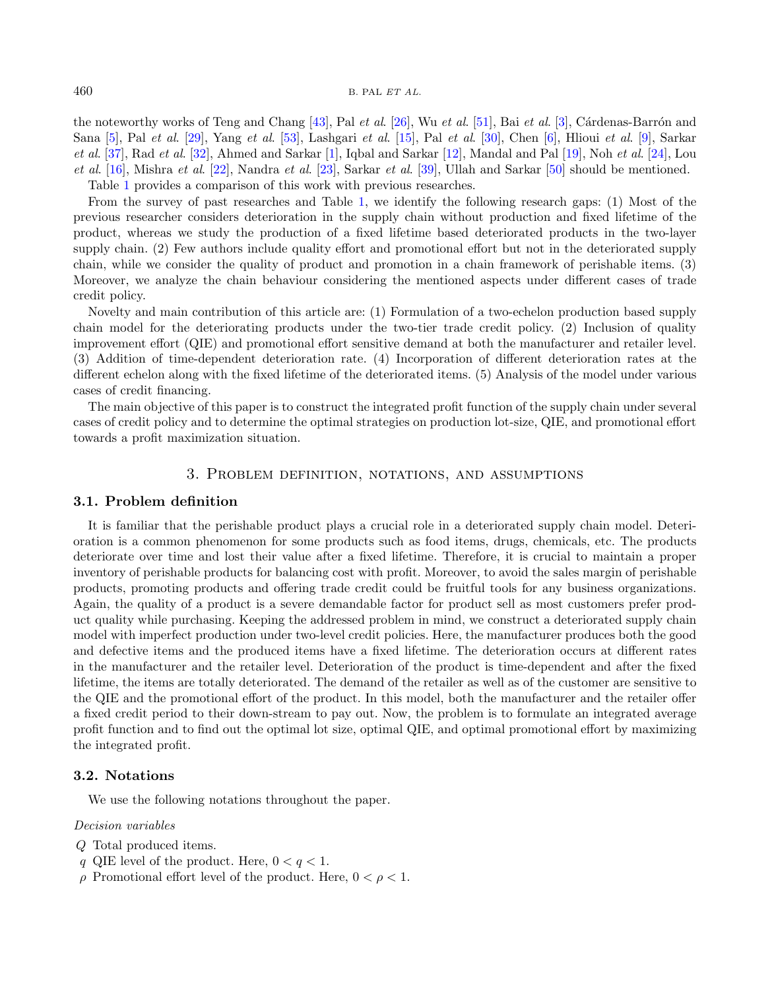the noteworthy works of Teng and Chang  $[43]$ , Pal et al.  $[26]$ , Wu et al.  $[51]$ , Bai et al.  $[3]$ , Cárdenas-Barrón and Sana [\[5\]](#page-21-12), Pal et al. [\[29\]](#page-22-20), Yang et al. [\[53\]](#page-23-1), Lashgari et al. [\[15\]](#page-21-13), Pal et al. [\[30\]](#page-22-21), Chen [\[6\]](#page-21-14), Hlioui et al. [\[9\]](#page-21-15), Sarkar et al. [\[37\]](#page-22-22), Rad et al. [\[32\]](#page-22-23), Ahmed and Sarkar [\[1\]](#page-21-16), Iqbal and Sarkar [\[12\]](#page-21-17), Mandal and Pal [\[19\]](#page-21-18), Noh et al. [\[24\]](#page-22-24), Lou  $et \ al. [16]$  $et \ al. [16]$ , Mishra  $et \ al. [22]$  $et \ al. [22]$ , Nandra  $et \ al. [23]$  $et \ al. [23]$ , Sarkar  $et \ al. [39]$  $et \ al. [39]$ , Ullah and Sarkar  $[50]$  should be mentioned. Table [1](#page-5-0) provides a comparison of this work with previous researches.

From the survey of past researches and Table [1,](#page-5-0) we identify the following research gaps: (1) Most of the previous researcher considers deterioration in the supply chain without production and fixed lifetime of the product, whereas we study the production of a fixed lifetime based deteriorated products in the two-layer supply chain. (2) Few authors include quality effort and promotional effort but not in the deteriorated supply chain, while we consider the quality of product and promotion in a chain framework of perishable items. (3) Moreover, we analyze the chain behaviour considering the mentioned aspects under different cases of trade credit policy.

Novelty and main contribution of this article are: (1) Formulation of a two-echelon production based supply chain model for the deteriorating products under the two-tier trade credit policy. (2) Inclusion of quality improvement effort (QIE) and promotional effort sensitive demand at both the manufacturer and retailer level. (3) Addition of time-dependent deterioration rate. (4) Incorporation of different deterioration rates at the different echelon along with the fixed lifetime of the deteriorated items. (5) Analysis of the model under various cases of credit financing.

The main objective of this paper is to construct the integrated profit function of the supply chain under several cases of credit policy and to determine the optimal strategies on production lot-size, QIE, and promotional effort towards a profit maximization situation.

## 3. Problem definition, notations, and assumptions

## <span id="page-3-0"></span>3.1. Problem definition

It is familiar that the perishable product plays a crucial role in a deteriorated supply chain model. Deterioration is a common phenomenon for some products such as food items, drugs, chemicals, etc. The products deteriorate over time and lost their value after a fixed lifetime. Therefore, it is crucial to maintain a proper inventory of perishable products for balancing cost with profit. Moreover, to avoid the sales margin of perishable products, promoting products and offering trade credit could be fruitful tools for any business organizations. Again, the quality of a product is a severe demandable factor for product sell as most customers prefer product quality while purchasing. Keeping the addressed problem in mind, we construct a deteriorated supply chain model with imperfect production under two-level credit policies. Here, the manufacturer produces both the good and defective items and the produced items have a fixed lifetime. The deterioration occurs at different rates in the manufacturer and the retailer level. Deterioration of the product is time-dependent and after the fixed lifetime, the items are totally deteriorated. The demand of the retailer as well as of the customer are sensitive to the QIE and the promotional effort of the product. In this model, both the manufacturer and the retailer offer a fixed credit period to their down-stream to pay out. Now, the problem is to formulate an integrated average profit function and to find out the optimal lot size, optimal QIE, and optimal promotional effort by maximizing the integrated profit.

## 3.2. Notations

We use the following notations throughout the paper.

Decision variables

- Q Total produced items.
- q QIE level of the product. Here,  $0 < q < 1$ .
- $\rho$  Promotional effort level of the product. Here,  $0 < \rho < 1$ .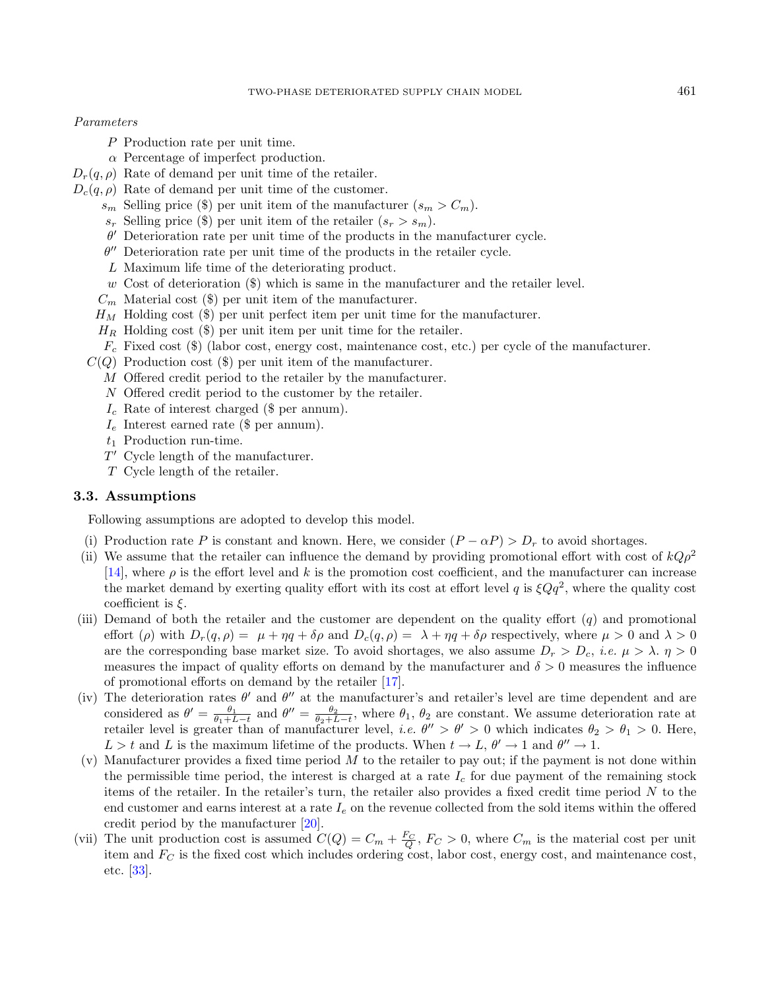## Parameters

- P Production rate per unit time.
- α Percentage of imperfect production.
- $D_r(q, \rho)$  Rate of demand per unit time of the retailer.
- $D_c(q, \rho)$  Rate of demand per unit time of the customer.
	- $s_m$  Selling price (\$) per unit item of the manufacturer  $(s_m > C_m)$ .
	- $s_r$  Selling price (\$) per unit item of the retailer  $(s_r > s_m)$ .
	- $\theta'$  Deterioration rate per unit time of the products in the manufacturer cycle.
	- $\theta''$  Deterioration rate per unit time of the products in the retailer cycle.
	- L Maximum life time of the deteriorating product.
	- $w$  Cost of deterioration  $(\$)$  which is same in the manufacturer and the retailer level.
	- $C_m$  Material cost (\$) per unit item of the manufacturer.
	- $H_M$  Holding cost (\$) per unit perfect item per unit time for the manufacturer.
	- $H_R$  Holding cost (\$) per unit item per unit time for the retailer.
	- $F_c$  Fixed cost (\$) (labor cost, energy cost, maintenance cost, etc.) per cycle of the manufacturer.
	- $C(Q)$  Production cost  $(\$)$  per unit item of the manufacturer.
		- M Offered credit period to the retailer by the manufacturer.
		- N Offered credit period to the customer by the retailer.
		- $I_c$  Rate of interest charged (\$ per annum).
		- $I_e$  Interest earned rate (\$ per annum).
		- $t_1$  Production run-time.
		- $T'$  Cycle length of the manufacturer.
		- T Cycle length of the retailer.

## 3.3. Assumptions

Following assumptions are adopted to develop this model.

- (i) Production rate P is constant and known. Here, we consider  $(P \alpha P) > D_r$  to avoid shortages.
- (ii) We assume that the retailer can influence the demand by providing promotional effort with cost of  $kQ\rho^2$ [\[14\]](#page-21-0), where  $\rho$  is the effort level and k is the promotion cost coefficient, and the manufacturer can increase the market demand by exerting quality effort with its cost at effort level q is  $\xi Qq^2$ , where the quality cost coefficient is  $\xi$ .
- (iii) Demand of both the retailer and the customer are dependent on the quality effort  $(q)$  and promotional effort (ρ) with  $D_r(q, \rho) = \mu + \eta q + \delta \rho$  and  $D_c(q, \rho) = \lambda + \eta q + \delta \rho$  respectively, where  $\mu > 0$  and  $\lambda > 0$ are the corresponding base market size. To avoid shortages, we also assume  $D_r > D_c$ , *i.e.*  $\mu > \lambda$ .  $\eta > 0$ measures the impact of quality efforts on demand by the manufacturer and  $\delta > 0$  measures the influence of promotional efforts on demand by the retailer [\[17\]](#page-21-5).
- (iv) The deterioration rates  $\theta'$  and  $\theta''$  at the manufacturer's and retailer's level are time dependent and are considered as  $\theta' = \frac{\theta_1}{\theta_1 + L - t}$  and  $\theta'' = \frac{\theta_2}{\theta_2 + L - t}$ , where  $\theta_1$ ,  $\theta_2$  are constant. We assume deterioration rate at retailer level is greater than of manufacturer level, *i.e.*  $\theta'' > \theta' > 0$  which indicates  $\theta_2 > \theta_1 > 0$ . Here,  $L > t$  and L is the maximum lifetime of the products. When  $t \to L$ ,  $\theta' \to 1$  and  $\theta'' \to 1$ .
- (v) Manufacturer provides a fixed time period  $M$  to the retailer to pay out; if the payment is not done within the permissible time period, the interest is charged at a rate  $I_c$  for due payment of the remaining stock items of the retailer. In the retailer's turn, the retailer also provides a fixed credit time period  $N$  to the end customer and earns interest at a rate  $I_e$  on the revenue collected from the sold items within the offered credit period by the manufacturer [\[20\]](#page-21-10).
- (vii) The unit production cost is assumed  $C(Q) = C_m + \frac{F_C}{Q}$ ,  $F_C > 0$ , where  $C_m$  is the material cost per unit item and  $F_C$  is the fixed cost which includes ordering cost, labor cost, energy cost, and maintenance cost, etc. [\[33\]](#page-22-3).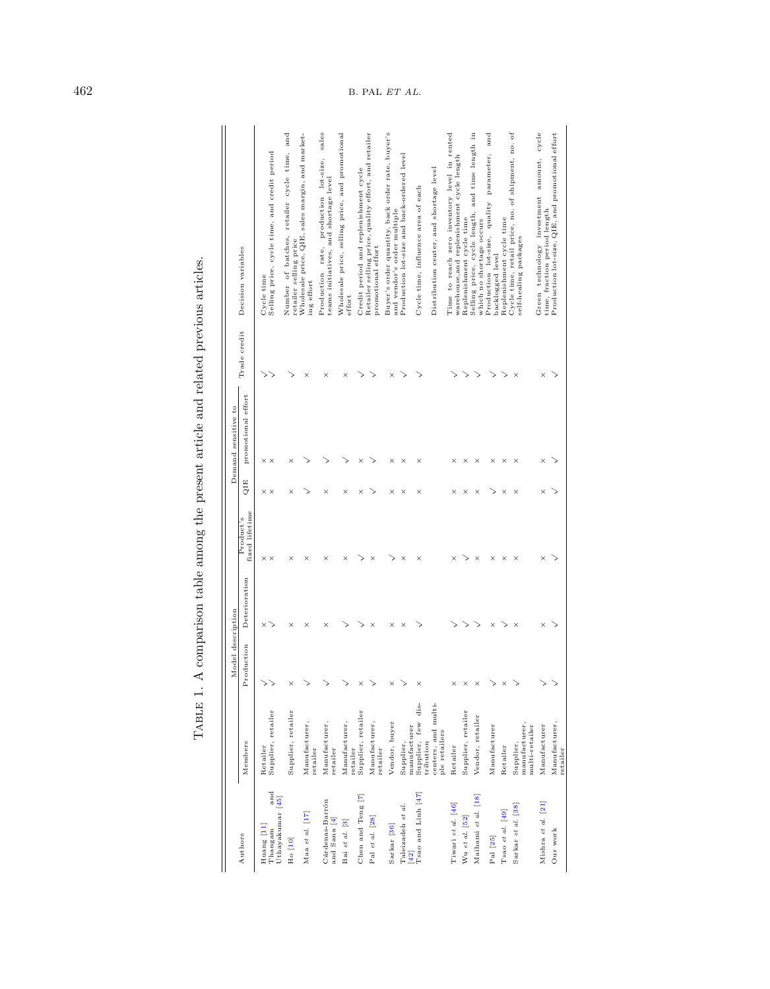<span id="page-5-0"></span>

|                                                  |                                                   | Model description |               |                             |                   | Demand sensitive to |                        |                                                                                            |
|--------------------------------------------------|---------------------------------------------------|-------------------|---------------|-----------------------------|-------------------|---------------------|------------------------|--------------------------------------------------------------------------------------------|
| Authors                                          | Members                                           | Production        | Deterioration | fixed lifetime<br>Product's | QIE               | promotional effort  | Trade credit           | Decision variables                                                                         |
| and<br>Uthayakumar [45]<br>Huang [11]<br>Thangam | Supplier, retailer<br>Retailer                    |                   | ×             | $\times$ $\times$           | $\times$ $\times$ | $\times$ $\times$   | ><br>↘                 | Selling price, cycle time, and credit period<br>Cycle time                                 |
| $H_0$ [10]                                       | Supplier, retailer                                | $\times$          | $\times$      | $\times$                    | $\times$          | $\times$            |                        | Number of batches, retailer cycle time, and<br>retailer selling price                      |
| Maa et al. [17]                                  | Manufacturer,<br>retailer                         |                   | $\times$      | $\times$                    |                   |                     | $\times$               | Wholesale price, QIE, sales margin, and market-<br>ing effort                              |
| Cárdenas-Barrón<br>and Sana [4]                  | Manufacturer,<br>retailer                         |                   | $\times$      | $\times$                    | $\times$          |                     | $\times$               | sales<br>production lot-size,<br>teams initiatives, and shortage level<br>Production rate, |
| Bai et al. [3]                                   | Manufacturer,<br>retailer                         |                   |               | $\times$                    | $\times$          |                     | $\times$               | Wholesale price, selling price, and promotional<br>effort                                  |
| Chen and Teng [7]                                | Supplier, retailer                                | $\times$          |               | ↘                           | ×                 | ×                   | ↘                      | Credit period and replenishment cycle                                                      |
| Pal et al. [28]                                  | Manufacturer,<br>retailer                         |                   | $\times$      | $\times$                    |                   |                     | ↘                      | Retailer selling price, quality effort, and retailer<br>promotional effort                 |
| Sarkar <sup>[36]</sup>                           | Vendor, buyer                                     | $\times$          | $\times$      | ↘                           | $\times$          | ×                   | $\times$               | Buyer's order quantity, back order rate, buyer's<br>and vendor's order multiple            |
| Taleizadeh et al.                                | Supplier,                                         | ↘                 | $\times$      | $\times$                    | ×                 | ×                   | ↘                      | Production lot-size and back-ordered level                                                 |
| Tsao and Linh [47]<br>$[42]$                     | Supplier, few dis-<br>manufacturer                | $\times$          |               | ×                           | ×                 | ×                   |                        | Cycle time, influence area of each                                                         |
|                                                  | centers, and multi-<br>ple retailers<br>tribution |                   |               |                             |                   |                     |                        | Distribution center, and shortage level                                                    |
| Tiwari et al. [46]                               | Retailer                                          | $\times$          |               | ×                           |                   | $\times$            |                        | Time to reach zero inventory level in rented<br>warehouse, and replenishment cycle length  |
| Wu et al. [52]                                   | Supplier, retailer                                | $\times$          | >             | >                           | $\times$          | ×                   | >                      | Replenishment cycle time                                                                   |
| Maihami et al. [18]                              | Vendor, retailer                                  | $\times$          | ↘             | $\times$                    | $\times$          | ×                   | $\scriptstyle\searrow$ | Selling price, cycle length, and time length in<br>which no shortage occurs                |
| Pal [25]                                         | Manufacturer                                      |                   | ×             | ×                           |                   | ×                   | ↘                      | and<br>Production lot-size, quality parameter,<br>backlogged level                         |
| Tsao et al. [49]                                 | Retailer                                          | $\times$          | >             | $\times$                    | ×                 | ×                   | ↘                      | Replenishment cycle time                                                                   |
| Sarkar et al. [38]                               | manufacturer,<br>nulti-retailer<br>Supplier,      |                   | $\times$      | $\times$                    | $\times$          | $\times$            | $\times$               | Cycle time, retail price, no. of shipment, no. of<br>self-healing packages                 |
| Mishra et al. [21]                               | Manufacturer                                      |                   | $\times$      | ×                           |                   |                     | ×                      | Green technology investment amount, cycle<br>time, fraction period length                  |
| Our work                                         | Manufacturer,<br>retailer                         |                   |               |                             |                   |                     |                        | Production lot-size, QIE, and promotional effort                                           |

TABLE 1. A comparison table among the present article and related previous articles. Table 1. A comparison table among the present article and related previous articles.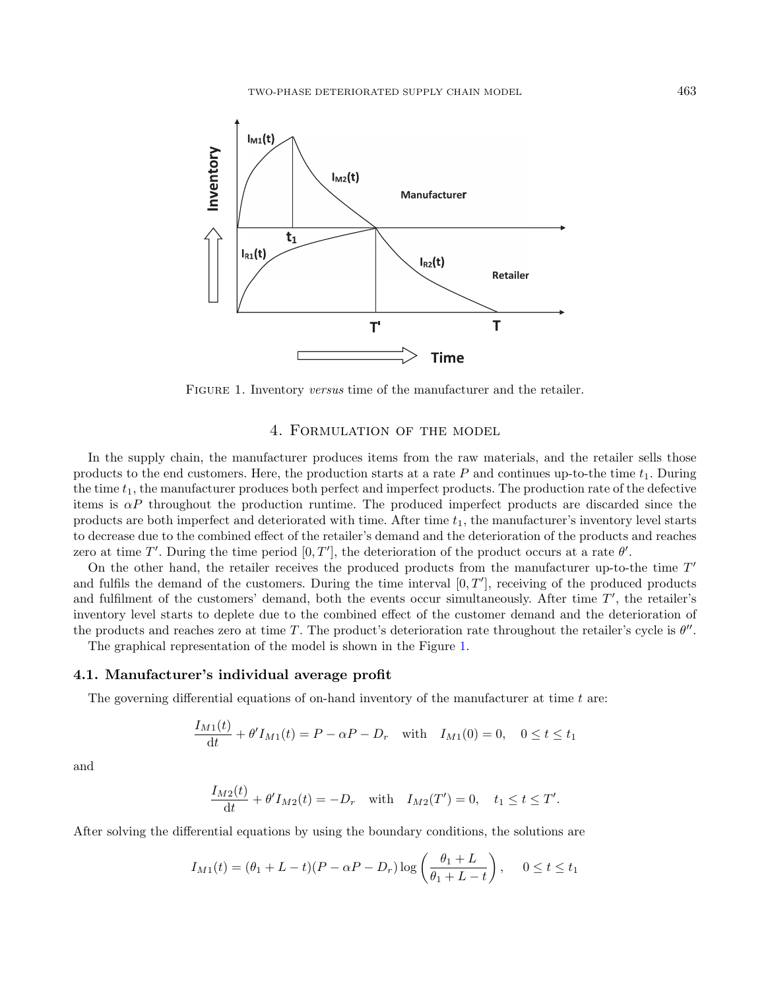<span id="page-6-1"></span>

FIGURE 1. Inventory versus time of the manufacturer and the retailer.

## 4. Formulation of the model

<span id="page-6-0"></span>In the supply chain, the manufacturer produces items from the raw materials, and the retailer sells those products to the end customers. Here, the production starts at a rate  $P$  and continues up-to-the time  $t_1$ . During the time  $t_1$ , the manufacturer produces both perfect and imperfect products. The production rate of the defective items is  $\alpha P$  throughout the production runtime. The produced imperfect products are discarded since the products are both imperfect and deteriorated with time. After time  $t_1$ , the manufacturer's inventory level starts to decrease due to the combined effect of the retailer's demand and the deterioration of the products and reaches zero at time T'. During the time period  $[0, T']$ , the deterioration of the product occurs at a rate  $\theta'$ .

On the other hand, the retailer receives the produced products from the manufacturer up-to-the time  $T'$ and fulfils the demand of the customers. During the time interval  $[0, T']$ , receiving of the produced products and fulfilment of the customers' demand, both the events occur simultaneously. After time  $T'$ , the retailer's inventory level starts to deplete due to the combined effect of the customer demand and the deterioration of the products and reaches zero at time T. The product's deterioration rate throughout the retailer's cycle is  $\theta''$ .

The graphical representation of the model is shown in the Figure [1.](#page-6-1)

## 4.1. Manufacturer's individual average profit

The governing differential equations of on-hand inventory of the manufacturer at time  $t$  are:

$$
\frac{I_{M1}(t)}{dt} + \theta' I_{M1}(t) = P - \alpha P - D_r \quad \text{with} \quad I_{M1}(0) = 0, \quad 0 \le t \le t_1
$$

and

$$
\frac{I_{M2}(t)}{dt} + \theta' I_{M2}(t) = -D_r \quad \text{with} \quad I_{M2}(T') = 0, \quad t_1 \le t \le T'.
$$

After solving the differential equations by using the boundary conditions, the solutions are

$$
I_{M1}(t) = (\theta_1 + L - t)(P - \alpha P - D_r) \log \left( \frac{\theta_1 + L}{\theta_1 + L - t} \right), \quad 0 \le t \le t_1
$$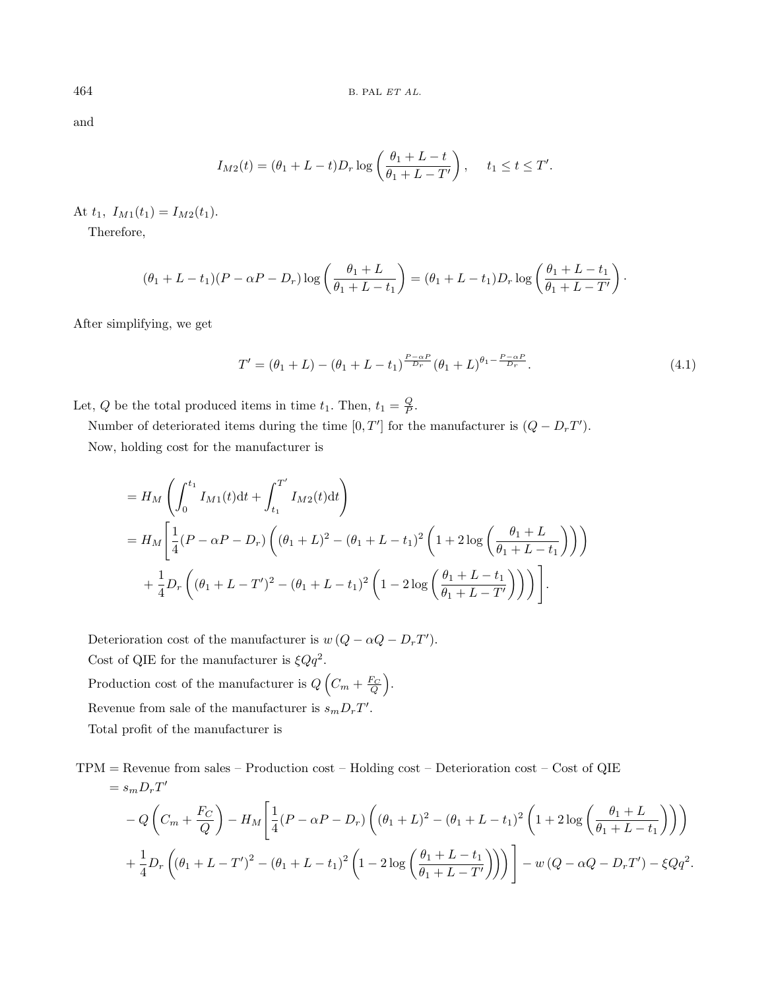and

$$
I_{M2}(t) = (\theta_1 + L - t)D_r \log \left( \frac{\theta_1 + L - t}{\theta_1 + L - T'} \right), \quad t_1 \le t \le T'.
$$

At  $t_1$ ,  $I_{M1}(t_1) = I_{M2}(t_1)$ .

Therefore,

$$
(\theta_1 + L - t_1)(P - \alpha P - D_r) \log \left( \frac{\theta_1 + L}{\theta_1 + L - t_1} \right) = (\theta_1 + L - t_1)D_r \log \left( \frac{\theta_1 + L - t_1}{\theta_1 + L - T'} \right).
$$

After simplifying, we get

$$
T' = (\theta_1 + L) - (\theta_1 + L - t_1)^{\frac{P - \alpha P}{D_r}} (\theta_1 + L)^{\theta_1 - \frac{P - \alpha P}{D_r}}.
$$
\n(4.1)

Let, Q be the total produced items in time  $t_1$ . Then,  $t_1 = \frac{Q}{P}$ .

Number of deteriorated items during the time  $[0, T']$  for the manufacturer is  $(Q - D<sub>r</sub> T')$ . Now, holding cost for the manufacturer is

$$
= H_M \left( \int_0^{t_1} I_{M1}(t) dt + \int_{t_1}^{T'} I_{M2}(t) dt \right)
$$
  
=  $H_M \left[ \frac{1}{4} (P - \alpha P - D_r) \left( (\theta_1 + L)^2 - (\theta_1 + L - t_1)^2 \left( 1 + 2 \log \left( \frac{\theta_1 + L}{\theta_1 + L - t_1} \right) \right) \right) + \frac{1}{4} D_r \left( (\theta_1 + L - T')^2 - (\theta_1 + L - t_1)^2 \left( 1 - 2 \log \left( \frac{\theta_1 + L - t_1}{\theta_1 + L - T'} \right) \right) \right) \right].$ 

Deterioration cost of the manufacturer is  $w(Q - \alpha Q - D_r T')$ . Cost of QIE for the manufacturer is  $\xi Q q^2$ . Production cost of the manufacturer is  $Q\left(C_m + \frac{F_C}{Q}\right)$ . Revenue from sale of the manufacturer is  $s_m D_r T'$ .

Total profit of the manufacturer is

 $TPM =$  Revenue from sales – Production cost – Holding cost – Deterioration cost – Cost of QIE  $= s_m D_r T'$ 

$$
-Q\left(C_m + \frac{F_C}{Q}\right) - H_M\left[\frac{1}{4}(P - \alpha P - D_r)\left((\theta_1 + L)^2 - (\theta_1 + L - t_1)^2\left(1 + 2\log\left(\frac{\theta_1 + L}{\theta_1 + L - t_1}\right)\right)\right) + \frac{1}{4}D_r\left((\theta_1 + L - T')^2 - (\theta_1 + L - t_1)^2\left(1 - 2\log\left(\frac{\theta_1 + L - t_1}{\theta_1 + L - T'}\right)\right)\right)\right] - w\left(Q - \alpha Q - D_rT'\right) - \xi Qq^2.
$$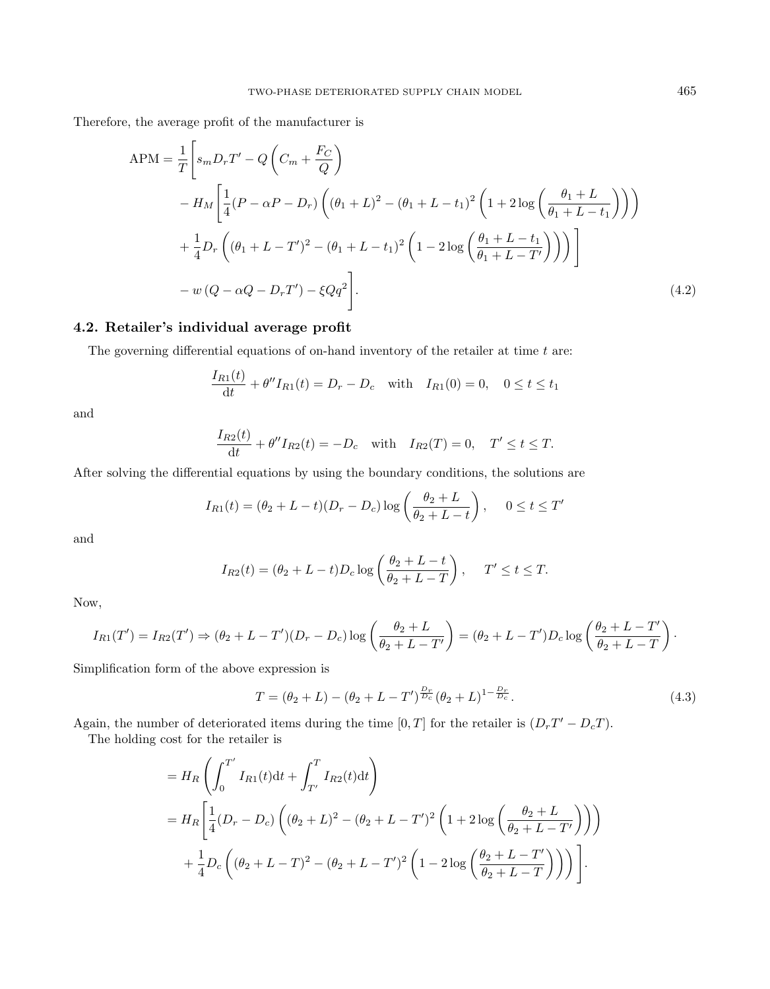Therefore, the average profit of the manufacturer is

$$
APM = \frac{1}{T} \left[ s_m D_r T' - Q \left( C_m + \frac{F_C}{Q} \right) \right]
$$
  
\n
$$
- H_M \left[ \frac{1}{4} (P - \alpha P - D_r) \left( (\theta_1 + L)^2 - (\theta_1 + L - t_1)^2 \left( 1 + 2 \log \left( \frac{\theta_1 + L}{\theta_1 + L - t_1} \right) \right) \right) \right]
$$
  
\n
$$
+ \frac{1}{4} D_r \left( (\theta_1 + L - T')^2 - (\theta_1 + L - t_1)^2 \left( 1 - 2 \log \left( \frac{\theta_1 + L - t_1}{\theta_1 + L - T'} \right) \right) \right) \right]
$$
  
\n
$$
- w (Q - \alpha Q - D_r T') - \xi Q q^2 \right].
$$
\n(4.2)

## 4.2. Retailer's individual average profit

The governing differential equations of on-hand inventory of the retailer at time  $t$  are:

$$
\frac{I_{R1}(t)}{dt} + \theta'' I_{R1}(t) = D_r - D_c \quad \text{with} \quad I_{R1}(0) = 0, \quad 0 \le t \le t_1
$$

and

$$
\frac{I_{R2}(t)}{dt} + \theta'' I_{R2}(t) = -D_c \quad \text{with} \quad I_{R2}(T) = 0, \quad T' \le t \le T.
$$

After solving the differential equations by using the boundary conditions, the solutions are

$$
I_{R1}(t) = (\theta_2 + L - t)(D_r - D_c) \log \left( \frac{\theta_2 + L}{\theta_2 + L - t} \right), \quad 0 \le t \le T'
$$

and

$$
I_{R2}(t) = (\theta_2 + L - t)D_c \log \left( \frac{\theta_2 + L - t}{\theta_2 + L - T} \right), \quad T' \le t \le T.
$$

Now,

$$
I_{R1}(T') = I_{R2}(T') \Rightarrow (\theta_2 + L - T')(D_r - D_c) \log \left(\frac{\theta_2 + L}{\theta_2 + L - T'}\right) = (\theta_2 + L - T')D_c \log \left(\frac{\theta_2 + L - T'}{\theta_2 + L - T}\right).
$$

Simplification form of the above expression is

$$
T = (\theta_2 + L) - (\theta_2 + L - T')^{\frac{Dr}{D_c}} (\theta_2 + L)^{1 - \frac{Dr}{D_c}}.
$$
\n(4.3)

Again, the number of deteriorated items during the time [0, T] for the retailer is  $(D_rT'-D_cT)$ .

The holding cost for the retailer is

$$
= H_R \left( \int_0^{T'} I_{R1}(t) dt + \int_{T'}^T I_{R2}(t) dt \right)
$$
  
=  $H_R \left[ \frac{1}{4} (D_r - D_c) \left( (\theta_2 + L)^2 - (\theta_2 + L - T')^2 \left( 1 + 2 \log \left( \frac{\theta_2 + L}{\theta_2 + L - T'} \right) \right) \right) + \frac{1}{4} D_c \left( (\theta_2 + L - T)^2 - (\theta_2 + L - T')^2 \left( 1 - 2 \log \left( \frac{\theta_2 + L - T'}{\theta_2 + L - T} \right) \right) \right) \right].$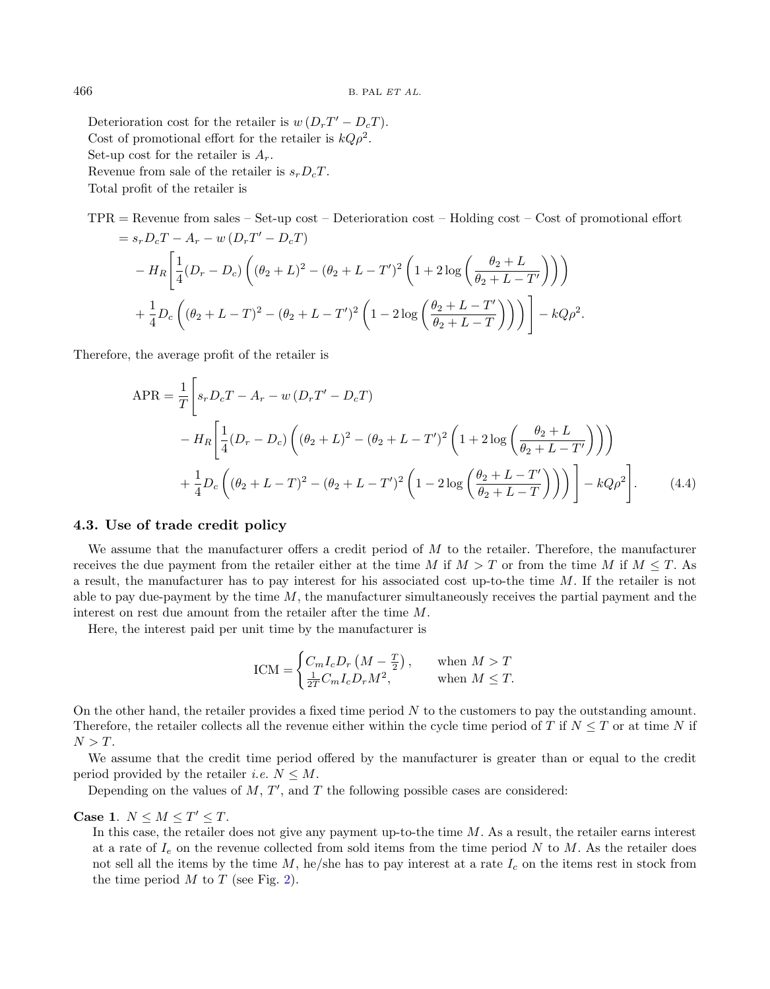Deterioration cost for the retailer is  $w(D_rT'-D_cT)$ . Cost of promotional effort for the retailer is  $kQ\rho^2$ . Set-up cost for the retailer is  $A_r$ . Revenue from sale of the retailer is  $s_r D_cT$ . Total profit of the retailer is

TPR = Revenue from sales – Set-up cost – Deterioration cost – Holding cost – Cost of promotional effort  $= s_r D_c T - A_r - w (D_r T' - D_c T)$  $- H_R$  $\lceil 1 \rceil$  $\frac{1}{4}(D_r-D_c)\left((\theta_2+L)^2-(\theta_2+L-T')^2\left(1+2\log\left(\frac{\theta_2+L}{\theta_2+L-T_1}\right)\right)\right)$  $\theta_2 + L - T'$  $111$ 

$$
+\frac{1}{4}D_c\left((\theta_2+L-T)^2-(\theta_2+L-T')^2\left(1-2\log\left(\frac{\theta_2+L-T'}{\theta_2+L-T}\right)\right)\right)\Bigg]-kQ\rho^2.
$$

Therefore, the average profit of the retailer is

$$
\begin{split} \text{APR} &= \frac{1}{T} \Bigg[ s_r D_c T - A_r - w \left( D_r T' - D_c T \right) \\ &- H_R \Bigg[ \frac{1}{4} (D_r - D_c) \left( (\theta_2 + L)^2 - (\theta_2 + L - T')^2 \left( 1 + 2 \log \left( \frac{\theta_2 + L}{\theta_2 + L - T'} \right) \right) \right) \\ &+ \frac{1}{4} D_c \left( (\theta_2 + L - T)^2 - (\theta_2 + L - T')^2 \left( 1 - 2 \log \left( \frac{\theta_2 + L - T'}{\theta_2 + L - T} \right) \right) \right) \Bigg] - k Q \rho^2 \Bigg]. \end{split} \tag{4.4}
$$

#### 4.3. Use of trade credit policy

We assume that the manufacturer offers a credit period of  $M$  to the retailer. Therefore, the manufacturer receives the due payment from the retailer either at the time M if  $M > T$  or from the time M if  $M \leq T$ . As a result, the manufacturer has to pay interest for his associated cost up-to-the time M. If the retailer is not able to pay due-payment by the time  $M$ , the manufacturer simultaneously receives the partial payment and the interest on rest due amount from the retailer after the time M.

Here, the interest paid per unit time by the manufacturer is

$$
ICM = \begin{cases} C_m I_c D_r \left( M - \frac{T}{2} \right), & \text{when } M > T \\ \frac{1}{2T} C_m I_c D_r M^2, & \text{when } M \le T. \end{cases}
$$

On the other hand, the retailer provides a fixed time period  $N$  to the customers to pay the outstanding amount. Therefore, the retailer collects all the revenue either within the cycle time period of T if  $N \leq T$  or at time N if  $N > T$ .

We assume that the credit time period offered by the manufacturer is greater than or equal to the credit period provided by the retailer *i.e.*  $N \leq M$ .

Depending on the values of  $M$ ,  $T'$ , and  $T$  the following possible cases are considered:

Case 1.  $N \leq M \leq T' \leq T$ .

In this case, the retailer does not give any payment up-to-the time  $M$ . As a result, the retailer earns interest at a rate of  $I_e$  on the revenue collected from sold items from the time period N to M. As the retailer does not sell all the items by the time  $M$ , he/she has to pay interest at a rate  $I_c$  on the items rest in stock from the time period  $M$  to  $T$  (see Fig. [2\)](#page-10-0).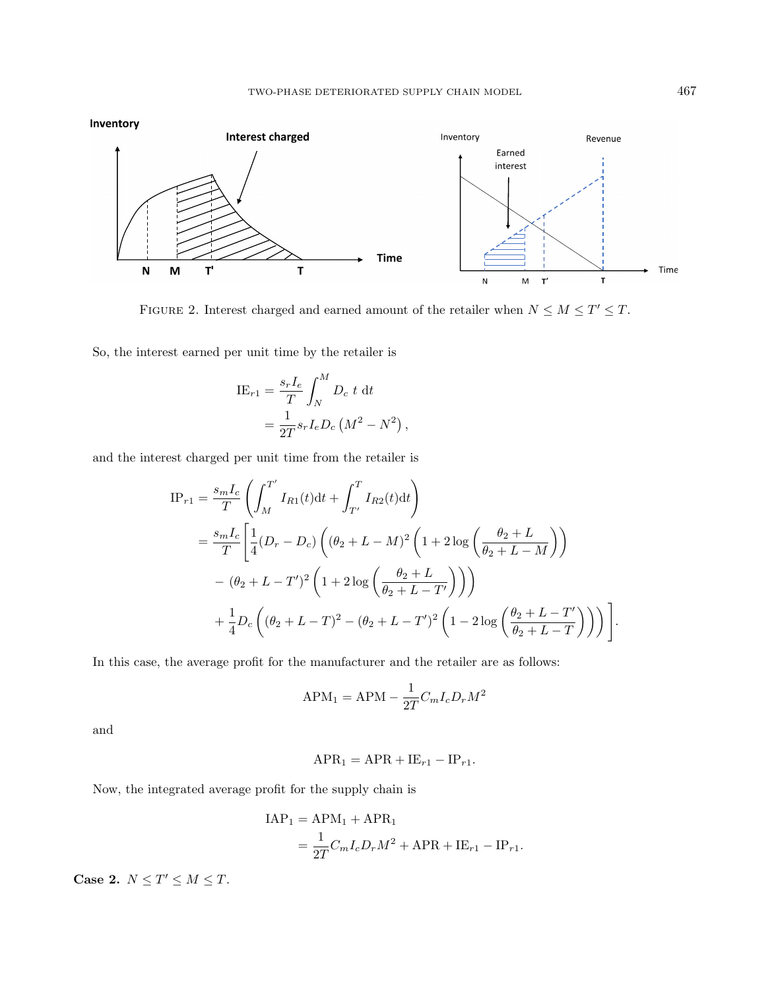<span id="page-10-0"></span>

FIGURE 2. Interest charged and earned amount of the retailer when  $N \leq M \leq T' \leq T$ .

So, the interest earned per unit time by the retailer is

$$
\begin{aligned} \text{IE}_{r1} &= \frac{s_r I_e}{T} \int_N^M D_c \ t \ \text{d}t \\ &= \frac{1}{2T} s_r I_e D_c \left( M^2 - N^2 \right), \end{aligned}
$$

and the interest charged per unit time from the retailer is

$$
IP_{r1} = \frac{s_m I_c}{T} \left( \int_M^{T'} I_{R1}(t) dt + \int_{T'}^{T} I_{R2}(t) dt \right)
$$
  
=  $\frac{s_m I_c}{T} \left[ \frac{1}{4} (D_r - D_c) \left( (\theta_2 + L - M)^2 \left( 1 + 2 \log \left( \frac{\theta_2 + L}{\theta_2 + L - M} \right) \right) \right.\right.$   
 $- (\theta_2 + L - T')^2 \left( 1 + 2 \log \left( \frac{\theta_2 + L}{\theta_2 + L - T'} \right) \right) \right)$   
+  $\frac{1}{4} D_c \left( (\theta_2 + L - T)^2 - (\theta_2 + L - T')^2 \left( 1 - 2 \log \left( \frac{\theta_2 + L - T'}{\theta_2 + L - T} \right) \right) \right).$ 

In this case, the average profit for the manufacturer and the retailer are as follows:

$$
\text{APM}_1 = \text{APM} - \frac{1}{2T} C_m I_c D_r M^2
$$

and

$$
APR_1 = APR + IE_{r1} - IP_{r1}.
$$

Now, the integrated average profit for the supply chain is

$$
IAP_1 = APM_1 + APR_1
$$
  
= 
$$
\frac{1}{2T}C_mI_cD_rM^2 + APR + IE_{r1} - IP_{r1}.
$$

Case 2.  $N \leq T' \leq M \leq T$ .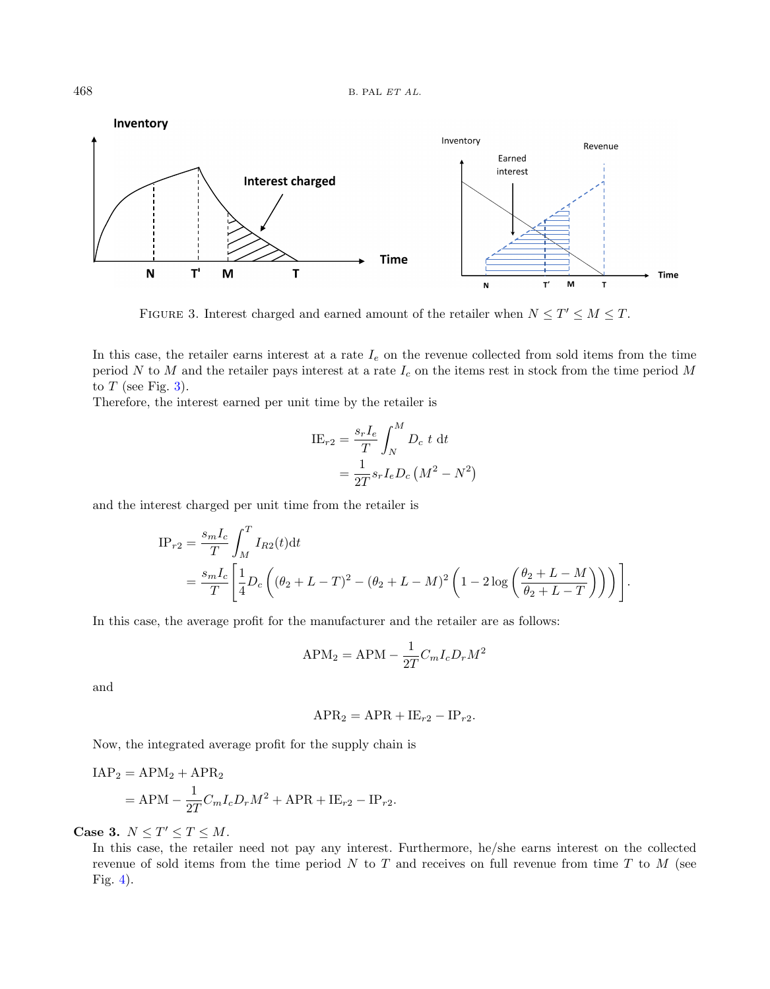<span id="page-11-0"></span>

FIGURE 3. Interest charged and earned amount of the retailer when  $N \leq T' \leq M \leq T$ .

In this case, the retailer earns interest at a rate  $I_e$  on the revenue collected from sold items from the time period  $N$  to  $M$  and the retailer pays interest at a rate  $I_c$  on the items rest in stock from the time period  $M$ to  $T$  (see Fig. [3\)](#page-11-0).

Therefore, the interest earned per unit time by the retailer is

$$
\begin{aligned} \text{IE}_{r2} &= \frac{s_r I_e}{T} \int_N^M D_c \ t \ \text{d}t \\ &= \frac{1}{2T} s_r I_e D_c \left( M^2 - N^2 \right) \end{aligned}
$$

and the interest charged per unit time from the retailer is

$$
\begin{split} \text{IP}_{r2} &= \frac{s_m I_c}{T} \int_M^T I_{R2}(t) \text{d}t \\ &= \frac{s_m I_c}{T} \Bigg[ \frac{1}{4} D_c \left( (\theta_2 + L - T)^2 - (\theta_2 + L - M)^2 \left( 1 - 2 \log \left( \frac{\theta_2 + L - M}{\theta_2 + L - T} \right) \right) \right) \Bigg]. \end{split}
$$

In this case, the average profit for the manufacturer and the retailer are as follows:

$$
APM_2 = APM - \frac{1}{2T}C_mI_cD_rM^2
$$

and

$$
APR_2 = APR + IE_{r2} - IP_{r2}.
$$

Now, the integrated average profit for the supply chain is

$$
IAP2 = APM2 + APR2
$$
  
= APM -  $\frac{1}{2T}C_mI_cD_rM^2$  + APR + IE<sub>r2</sub> - IP<sub>r2</sub>.

Case 3.  $N \leq T' \leq T \leq M$ .

In this case, the retailer need not pay any interest. Furthermore, he/she earns interest on the collected revenue of sold items from the time period  $N$  to  $T$  and receives on full revenue from time  $T$  to  $M$  (see Fig. [4\)](#page-12-0).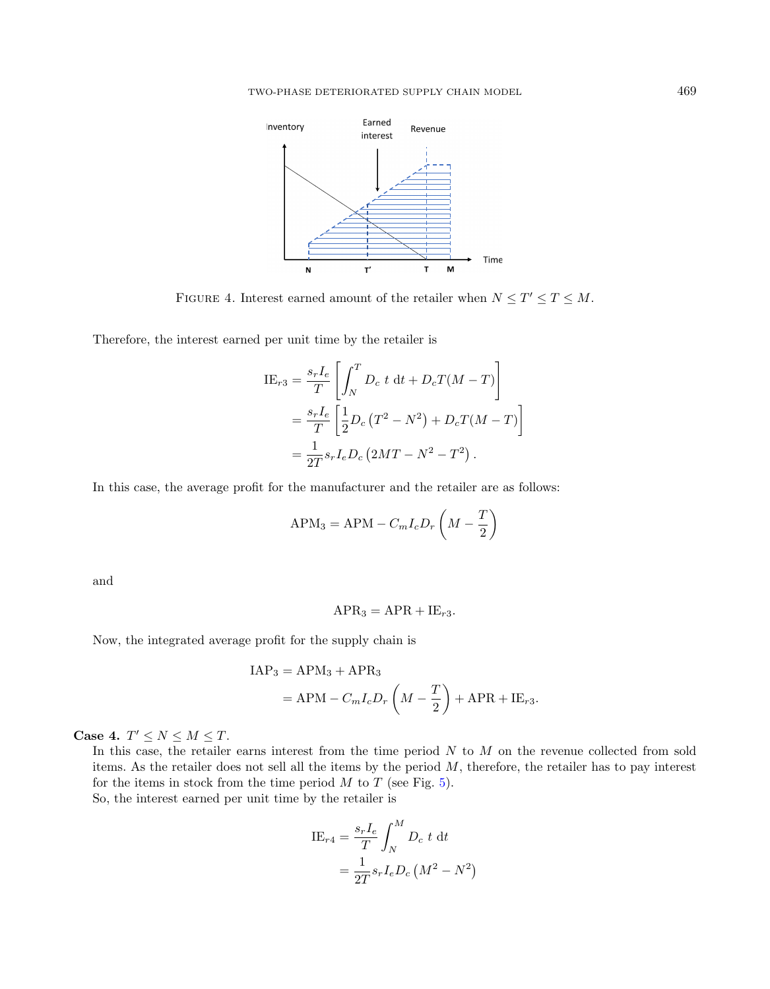<span id="page-12-0"></span>

FIGURE 4. Interest earned amount of the retailer when  $N \leq T' \leq T \leq M$ .

Therefore, the interest earned per unit time by the retailer is

$$
\begin{split} \text{IE}_{r3} &= \frac{s_r I_e}{T} \left[ \int_N^T D_c \ t \ \text{d}t + D_c T(M - T) \right] \\ &= \frac{s_r I_e}{T} \left[ \frac{1}{2} D_c \left( T^2 - N^2 \right) + D_c T(M - T) \right] \\ &= \frac{1}{2T} s_r I_e D_c \left( 2MT - N^2 - T^2 \right). \end{split}
$$

In this case, the average profit for the manufacturer and the retailer are as follows:

$$
APM_3 = APM - C_m I_c D_r \left( M - \frac{T}{2} \right)
$$

and

$$
APR_3 = APR + IE_{r3}.
$$

Now, the integrated average profit for the supply chain is

$$
IAP3 = APM3 + APR3
$$
  
= APM - C<sub>m</sub>I<sub>c</sub>D<sub>r</sub>  $\left(M - \frac{T}{2}\right)$  + APR + IE<sub>r3</sub>.

Case 4.  $T' \leq N \leq M \leq T$ .

In this case, the retailer earns interest from the time period  $N$  to  $M$  on the revenue collected from sold items. As the retailer does not sell all the items by the period  $M$ , therefore, the retailer has to pay interest for the items in stock from the time period  $M$  to  $T$  (see Fig. [5\)](#page-13-0). So, the interest earned per unit time by the retailer is

$$
\begin{aligned} \text{IE}_{r4} &= \frac{s_r I_e}{T} \int_N^M D_c \ t \ \text{d}t \\ &= \frac{1}{2T} s_r I_e D_c \left( M^2 - N^2 \right) \end{aligned}
$$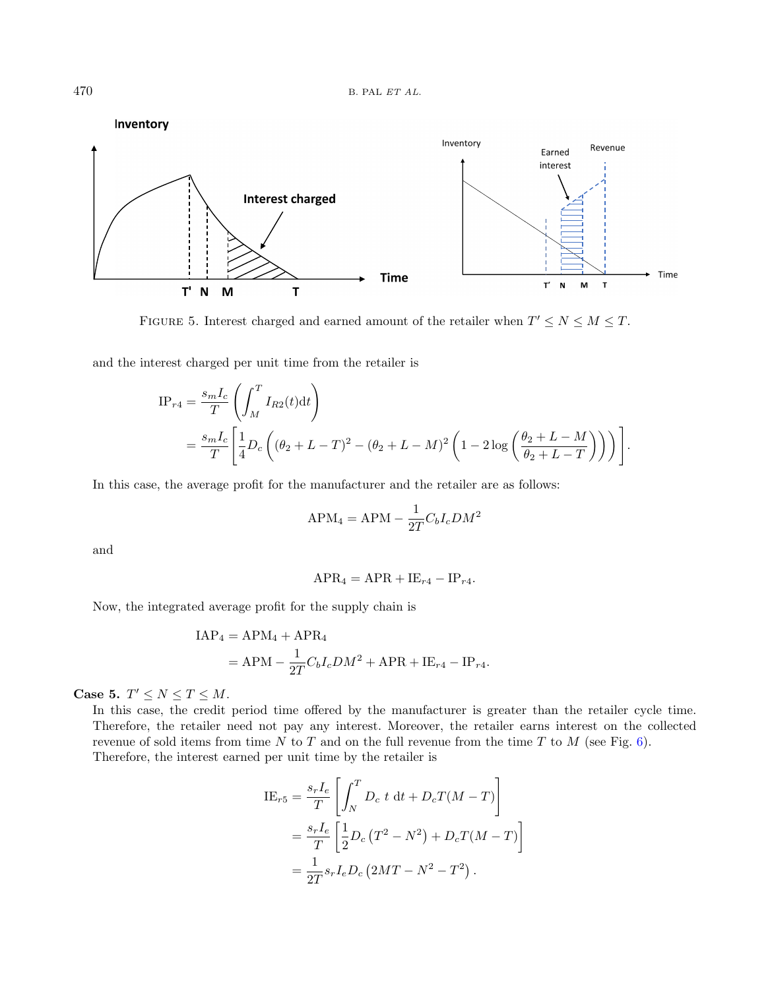<span id="page-13-0"></span>

FIGURE 5. Interest charged and earned amount of the retailer when  $T' \le N \le M \le T$ .

and the interest charged per unit time from the retailer is

$$
\begin{split} \text{IP}_{r4} &= \frac{s_m I_c}{T} \left( \int_M^T I_{R2}(t) \, \text{d}t \right) \\ &= \frac{s_m I_c}{T} \left[ \frac{1}{4} D_c \left( (\theta_2 + L - T)^2 - (\theta_2 + L - M)^2 \left( 1 - 2 \log \left( \frac{\theta_2 + L - M}{\theta_2 + L - T} \right) \right) \right) \right]. \end{split}
$$

In this case, the average profit for the manufacturer and the retailer are as follows:

$$
APM_4 = APM - \frac{1}{2T}C_bI_cDM^2
$$

and

$$
APR_4 = APR + IE_{r4} - IP_{r4}.
$$

Now, the integrated average profit for the supply chain is

$$
IAP_4 = APM_4 + APR_4
$$
  
= APM -  $\frac{1}{2T}C_bI_cDM^2 + APR + IE_{r4} - IP_{r4}$ .

Case 5.  $T' \leq N \leq T \leq M$ .

In this case, the credit period time offered by the manufacturer is greater than the retailer cycle time. Therefore, the retailer need not pay any interest. Moreover, the retailer earns interest on the collected revenue of sold items from time N to T and on the full revenue from the time T to M (see Fig. [6\)](#page-14-0). Therefore, the interest earned per unit time by the retailer is

$$
\begin{split} \text{IE}_{r5} &= \frac{s_r I_e}{T} \left[ \int_N^T D_c \ t \ \text{d}t + D_c T(M - T) \right] \\ &= \frac{s_r I_e}{T} \left[ \frac{1}{2} D_c \left( T^2 - N^2 \right) + D_c T(M - T) \right] \\ &= \frac{1}{2T} s_r I_e D_c \left( 2MT - N^2 - T^2 \right). \end{split}
$$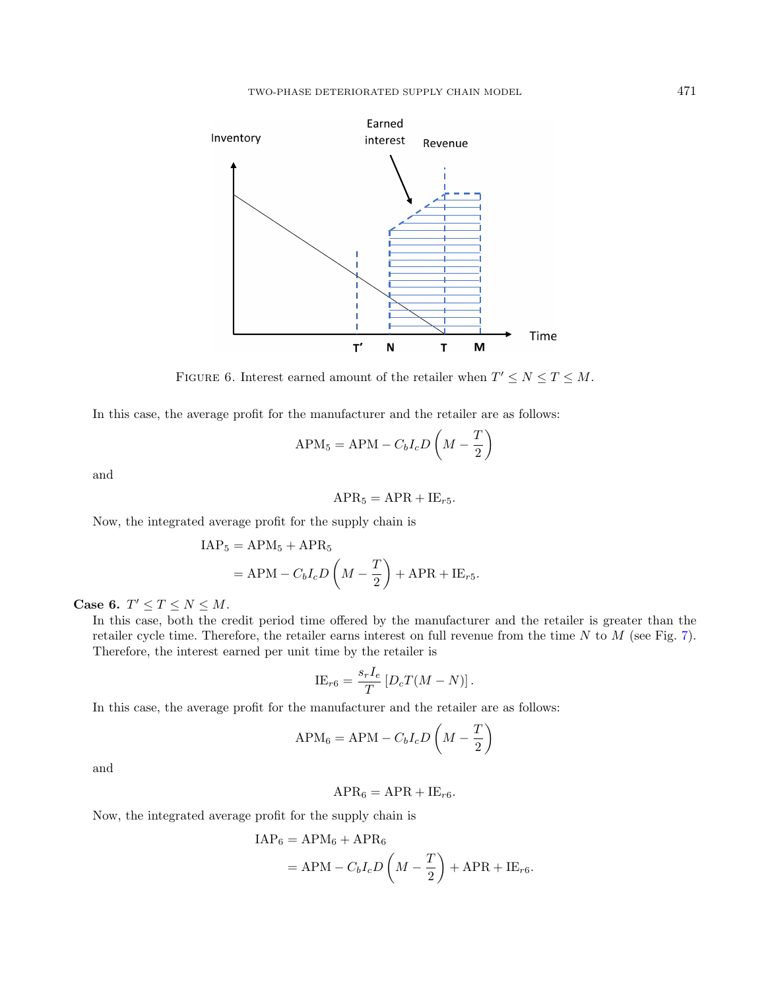<span id="page-14-0"></span>

FIGURE 6. Interest earned amount of the retailer when  $T' \le N \le T \le M$ .

In this case, the average profit for the manufacturer and the retailer are as follows:

$$
APM_5 = APM - C_bI_cD\left(M - \frac{T}{2}\right)
$$

and

$$
APR_5 = APR + IE_{r5}.
$$

Now, the integrated average profit for the supply chain is

$$
IAP_5 = APM_5 + APR_5
$$
  
= APM - C<sub>b</sub>I<sub>c</sub>D $\left(M - \frac{T}{2}\right)$  + APR + IE<sub>r5</sub>.

Case 6.  $T' \leq T \leq N \leq M$ .

In this case, both the credit period time offered by the manufacturer and the retailer is greater than the retailer cycle time. Therefore, the retailer earns interest on full revenue from the time  $N$  to  $M$  (see Fig. [7\)](#page-15-0). Therefore, the interest earned per unit time by the retailer is

$$
IE_{r6} = \frac{s_r I_e}{T} [D_c T(M - N)].
$$

In this case, the average profit for the manufacturer and the retailer are as follows:

$$
APM_6 = APM - C_bI_cD\left(M - \frac{T}{2}\right)
$$

and

$$
APR_6 = APR + IE_{r6}.
$$

Now, the integrated average profit for the supply chain is

$$
IAP_6 = APM_6 + APR_6
$$
  
= APM - C<sub>b</sub>I<sub>c</sub>D $\left(M - \frac{T}{2}\right)$  + APR + IE<sub>r6</sub>.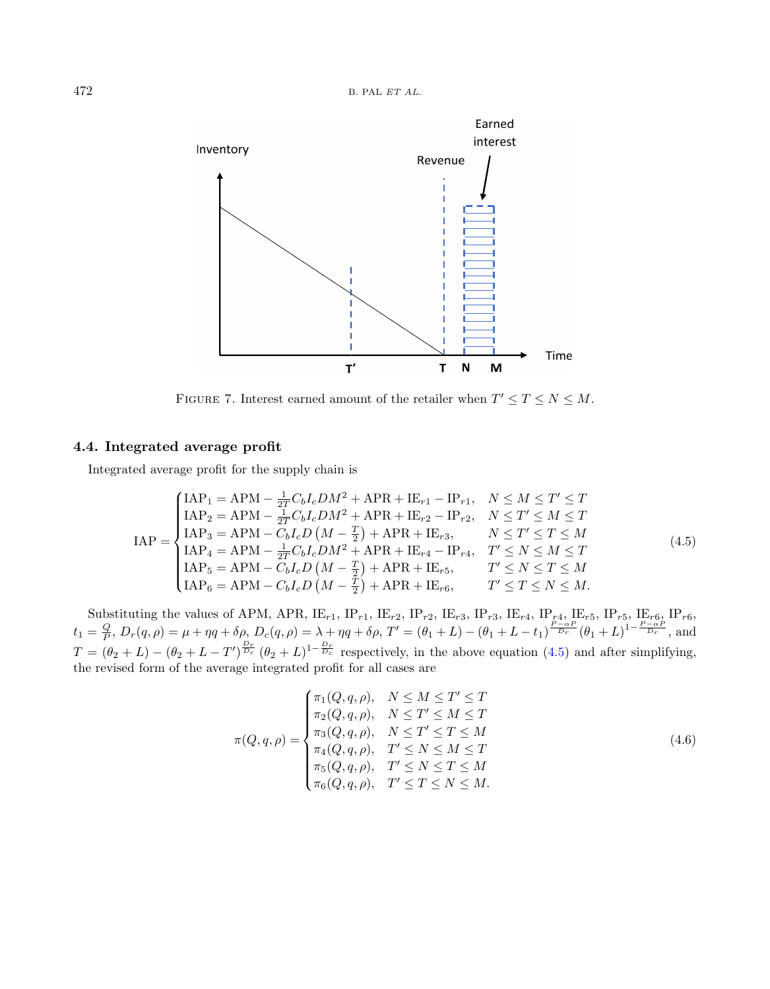<span id="page-15-0"></span>

<span id="page-15-1"></span>FIGURE 7. Interest earned amount of the retailer when  $T' \le T \le N \le M$ .

## 4.4. Integrated average profit

Integrated average profit for the supply chain is

$$
IAP = \begin{cases} IAP_1 = APM - \frac{1}{2T}C_bI_cDM^2 + APR + IE_{r1} - IP_{r1}, & N \le M \le T' \le T \\ IAP_2 = APM - \frac{1}{2T}C_bI_cDM^2 + APR + IE_{r2} - IP_{r2}, & N \le T' \le M \le T \\ IAP_3 = APM - C_bI_cD\left(M - \frac{T}{2}\right) + APR + IE_{r3}, & N \le T' \le T \le M \\ IAP_4 = APM - \frac{1}{2T}C_bI_cDM^2 + APR + IE_{r4} - IP_{r4}, & T' \le N \le M \le T \\ IAP_5 = APM - C_bI_cD\left(M - \frac{T}{2}\right) + APR + IE_{r5}, & T' \le N \le T \le M \\ IAP_6 = APM - C_bI_cD\left(M - \frac{T}{2}\right) + APR + IE_{r6}, & T' \le T \le N \le M. \end{cases}
$$
\n(4.5)

Substituting the values of APM, APR,  $\text{IE}_{r1}$ ,  $\text{IP}_{r1}$ ,  $\text{IE}_{r2}$ ,  $\text{IP}_{r2}$ ,  $\text{IE}_{r3}$ ,  $\text{IP}_{r3}$ ,  $\text{IE}_{r4}$ ,  $\text{IP}_{r4}$ ,  $\text{IE}_{r5}$ ,  $\text{IP}_{r5}$ ,  $\text{IE}_{r6}$ ,  $\text{IP}_{r6}$ ,  $t_1 = \frac{Q}{P}$ ,  $D_r(q, \rho) = \mu + \eta q + \delta \rho$ ,  $D_c(q, \rho) = \lambda + \eta q + \delta \rho$ ,  $T' = (\theta_1 + L) - (\theta_1 + L - t_1)^{\frac{P - \alpha P}{Dr}} (\theta_1 + L)^{1 - \frac{P - \alpha P}{Dr}}$ , and  $T = (\theta_2 + L) - (\theta_2 + L - T')^{\frac{D_r}{D_c}} (\theta_2 + L)^{1-\frac{D_r}{D_c}}$  respectively, in the above equation [\(4.5\)](#page-15-1) and after simplifying, the revised form of the average integrated profit for all cases are

<span id="page-15-2"></span>
$$
\pi(Q,q,\rho) = \begin{cases}\n\pi_1(Q,q,\rho), & N \leq M \leq T' \leq T \\
\pi_2(Q,q,\rho), & N \leq T' \leq M \leq T \\
\pi_3(Q,q,\rho), & N \leq T' \leq T \leq M \\
\pi_4(Q,q,\rho), & T' \leq N \leq M \leq T \\
\pi_5(Q,q,\rho), & T' \leq N \leq T \leq M \\
\pi_6(Q,q,\rho), & T' \leq T \leq N \leq M.\n\end{cases}
$$
\n(4.6)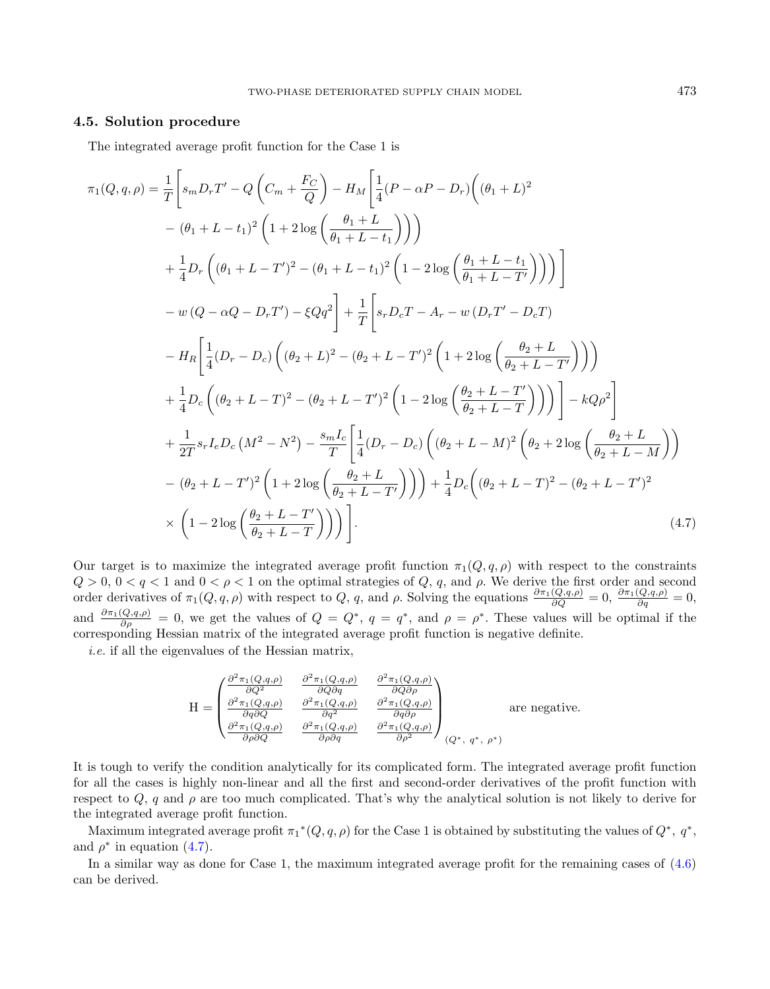## 4.5. Solution procedure

The integrated average profit function for the Case 1 is

$$
\pi_1(Q, q, \rho) = \frac{1}{T} \left[ s_m D_r T' - Q \left( C_m + \frac{F_C}{Q} \right) - H_M \left[ \frac{1}{4} (P - \alpha P - D_r) \left( (\theta_1 + L)^2 \right) \right] \right. \\ - (\theta_1 + L - t_1)^2 \left( 1 + 2 \log \left( \frac{\theta_1 + L}{\theta_1 + L - t_1} \right) \right) \right) \\ + \frac{1}{4} D_r \left( (\theta_1 + L - T')^2 - (\theta_1 + L - t_1)^2 \left( 1 - 2 \log \left( \frac{\theta_1 + L - t_1}{\theta_1 + L - T'} \right) \right) \right) \right] \\ - w (Q - \alpha Q - D_r T') - \xi Q q^2 \right] + \frac{1}{T} \left[ s_r D_c T - A_r - w (D_r T' - D_c T) \\ - H_R \left[ \frac{1}{4} (D_r - D_c) \left( (\theta_2 + L)^2 - (\theta_2 + L - T')^2 \left( 1 + 2 \log \left( \frac{\theta_2 + L}{\theta_2 + L - T'} \right) \right) \right) \right. \\ + \frac{1}{4} D_c \left( (\theta_2 + L - T)^2 - (\theta_2 + L - T')^2 \left( 1 - 2 \log \left( \frac{\theta_2 + L - T'}{\theta_2 + L - T'} \right) \right) \right) \right] - k Q \rho^2 \right] \\ + \frac{1}{2T} s_r I_e D_c (M^2 - N^2) - \frac{s_m I_c}{T} \left[ \frac{1}{4} (D_r - D_c) \left( (\theta_2 + L - M)^2 \left( \theta_2 + 2 \log \left( \frac{\theta_2 + L}{\theta_2 + L - M} \right) \right) \right. \\ - (\theta_2 + L - T')^2 \left( 1 + 2 \log \left( \frac{\theta_2 + L}{\theta_2 + L - T'} \right) \right) \right) + \frac{1}{4} D_c \left( (\theta_2 + L - T)^2 - (\theta_2 + L - T')^2 \right) \\ \times \left( 1 - 2 \log \left( \frac{\theta_2 + L - T'}{\theta_2 + L - T'} \right) \right) \right) \tag{4.7}
$$

Our target is to maximize the integrated average profit function  $\pi_1(Q, q, \rho)$  with respect to the constraints  $Q > 0$ ,  $0 < q < 1$  and  $0 < \rho < 1$  on the optimal strategies of  $Q$ , q, and  $\rho$ . We derive the first order and second order derivatives of  $\pi_1(Q, q, \rho)$  with respect to Q, q, and  $\rho$ . Solving the equations  $\frac{\partial \pi_1(Q, q, \rho)}{\partial Q} = 0$ ,  $\frac{\partial \pi_1(Q, q, \rho)}{\partial q} = 0$ , and  $\frac{\partial \pi_1(Q,q,\rho)}{\partial \rho} = 0$ , we get the values of  $Q = Q^*$ ,  $q = q^*$ , and  $\rho = \rho^*$ . These values will be optimal if the corresponding Hessian matrix of the integrated average profit function is negative definite.

i.e. if all the eigenvalues of the Hessian matrix,

<span id="page-16-0"></span>
$$
H = \begin{pmatrix} \frac{\partial^2 \pi_1(Q,q,\rho)}{\partial Q^2} & \frac{\partial^2 \pi_1(Q,q,\rho)}{\partial Q \partial q} & \frac{\partial^2 \pi_1(Q,q,\rho)}{\partial Q \partial \rho} \\ \frac{\partial^2 \pi_1(Q,q,\rho)}{\partial q \partial Q} & \frac{\partial^2 \pi_1(Q,q,\rho)}{\partial q^2} & \frac{\partial^2 \pi_1(Q,q,\rho)}{\partial q \partial \rho} \\ \frac{\partial^2 \pi_1(Q,q,\rho)}{\partial \rho \partial Q} & \frac{\partial^2 \pi_1(Q,q,\rho)}{\partial \rho \partial q} & \frac{\partial^2 \pi_1(Q,q,\rho)}{\partial \rho^2} \end{pmatrix}_{(Q^*, q^*, \rho^*)}
$$
 are negative.

It is tough to verify the condition analytically for its complicated form. The integrated average profit function for all the cases is highly non-linear and all the first and second-order derivatives of the profit function with respect to  $Q$ , q and  $\rho$  are too much complicated. That's why the analytical solution is not likely to derive for the integrated average profit function.

Maximum integrated average profit  $\pi_1^*(Q, q, \rho)$  for the Case 1 is obtained by substituting the values of  $Q^*, q^*,$ and  $\rho^*$  in equation [\(4.7\)](#page-16-0).

In a similar way as done for Case 1, the maximum integrated average profit for the remaining cases of [\(4.6\)](#page-15-2) can be derived.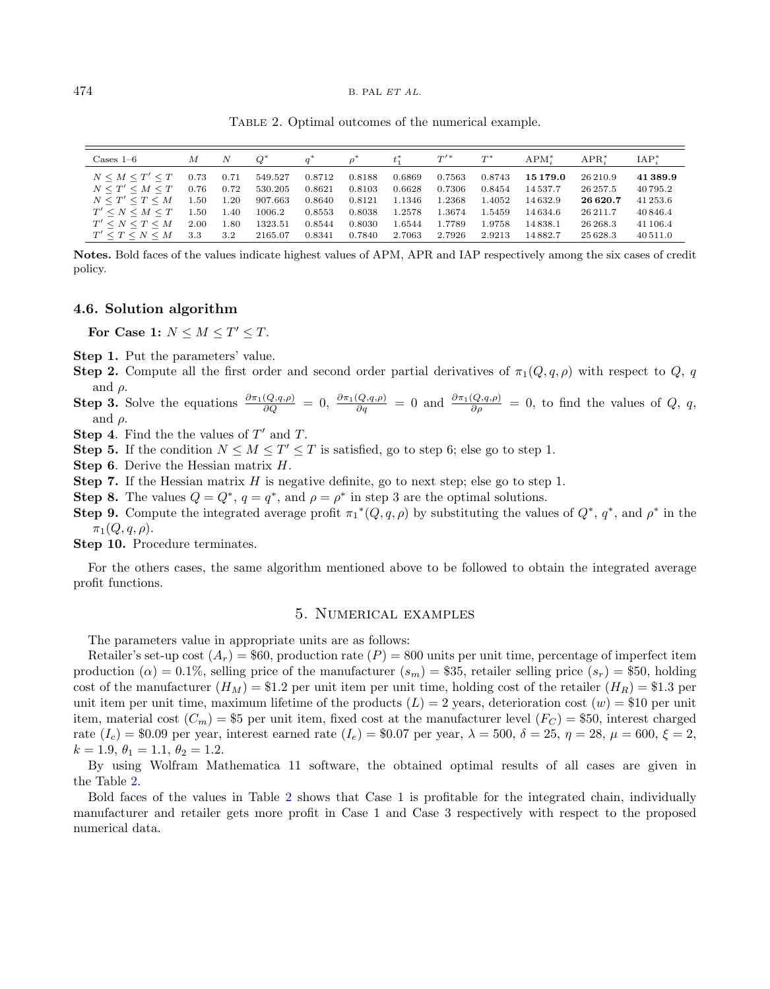<span id="page-17-1"></span>Table 2. Optimal outcomes of the numerical example.

| $\text{Case} 1-6$         | M    | N    |         |        |        |        | $T^{\prime\,*}$ | $T^*$  | $APM^*$      | $APR^*$   | $IAP^*$  |
|---------------------------|------|------|---------|--------|--------|--------|-----------------|--------|--------------|-----------|----------|
| $N \leq M \leq T' \leq T$ | 0.73 | 0.71 | 549.527 | 0.8712 | 0.8188 | 0.6869 | 0.7563          | 0.8743 | 15179.0      | 26 210.9  | 41 389.9 |
| $N \leq T' \leq M \leq T$ | 0.76 | 0.72 | 530.205 | 0.8621 | 0.8103 | 0.6628 | 0.7306          | 0.8454 | 14537.7      | 26 257.5  | 40795.2  |
| $N \leq T' \leq T \leq M$ | 1.50 | 1.20 | 907.663 | 0.8640 | 0.8121 | 1.1346 | 1.2368          | 1.4052 | 14632.9      | 26 6 20.7 | 41 253.6 |
| $T' \leq N \leq M \leq T$ | L.50 | 1.40 | 1006.2  | 0.8553 | 0.8038 | 1.2578 | 1.3674          | 1.5459 | 14 6 3 4 . 6 | 26 211.7  | 40 846.4 |
| $T' \leq N \leq T \leq M$ | 2.00 | 1.80 | 1323.51 | 0.8544 | 0.8030 | 1.6544 | 1.7789          | 1.9758 | 14838.1      | 26 268.3  | 41 106.4 |
| $T' \leq T \leq N \leq M$ | 3.3  | 3.2  | 2165.07 | 0.8341 | 0.7840 | 2.7063 | 2.7926          | 2.9213 | 14882.7      | 25628.3   | 40 511.0 |

Notes. Bold faces of the values indicate highest values of APM, APR and IAP respectively among the six cases of credit policy.

#### 4.6. Solution algorithm

For Case 1:  $N \leq M \leq T' \leq T$ .

Step 1. Put the parameters' value.

- Step 2. Compute all the first order and second order partial derivatives of  $\pi_1(Q, q, \rho)$  with respect to Q, q and  $\rho$ .
- **Step 3.** Solve the equations  $\frac{\partial \pi_1(Q,q,\rho)}{\partial Q} = 0$ ,  $\frac{\partial \pi_1(Q,q,\rho)}{\partial q} = 0$  and  $\frac{\partial \pi_1(Q,q,\rho)}{\partial \rho} = 0$ , to find the values of Q, q, and  $\rho$ .

**Step 4.** Find the the values of  $T'$  and T.

- **Step 5.** If the condition  $N \leq M \leq T' \leq T$  is satisfied, go to step 6; else go to step 1.
- Step 6. Derive the Hessian matrix  $H$ .
- **Step 7.** If the Hessian matrix  $H$  is negative definite, go to next step; else go to step 1.
- **Step 8.** The values  $Q = Q^*$ ,  $q = q^*$ , and  $\rho = \rho^*$  in step 3 are the optimal solutions.
- Step 9. Compute the integrated average profit  $\pi_1^*(Q, q, \rho)$  by substituting the values of  $Q^*, q^*$ , and  $\rho^*$  in the  $\pi_1(Q,q,\rho).$

Step 10. Procedure terminates.

For the others cases, the same algorithm mentioned above to be followed to obtain the integrated average profit functions.

## 5. Numerical examples

<span id="page-17-0"></span>The parameters value in appropriate units are as follows:

Retailer's set-up cost  $(A_r) = $60$ , production rate  $(P) = 800$  units per unit time, percentage of imperfect item production ( $\alpha$ ) = 0.1%, selling price of the manufacturer  $(s_m)$  = \$35, retailer selling price  $(s_r)$  = \$50, holding cost of the manufacturer  $(H_M) = $1.2$  per unit item per unit time, holding cost of the retailer  $(H_R) = $1.3$  per unit item per unit time, maximum lifetime of the products  $(L) = 2$  years, deterioration cost  $(w) = $10$  per unit item, material cost  $(C_m) = $5$  per unit item, fixed cost at the manufacturer level  $(F_C) = $50$ , interest charged rate  $(I_c) = $0.09$  per year, interest earned rate  $(I_e) = $0.07$  per year,  $\lambda = 500$ ,  $\delta = 25$ ,  $\eta = 28$ ,  $\mu = 600$ ,  $\xi = 2$ ,  $k = 1.9, \theta_1 = 1.1, \theta_2 = 1.2.$ 

By using Wolfram Mathematica 11 software, the obtained optimal results of all cases are given in the Table [2.](#page-17-1)

Bold faces of the values in Table [2](#page-17-1) shows that Case 1 is profitable for the integrated chain, individually manufacturer and retailer gets more profit in Case 1 and Case 3 respectively with respect to the proposed numerical data.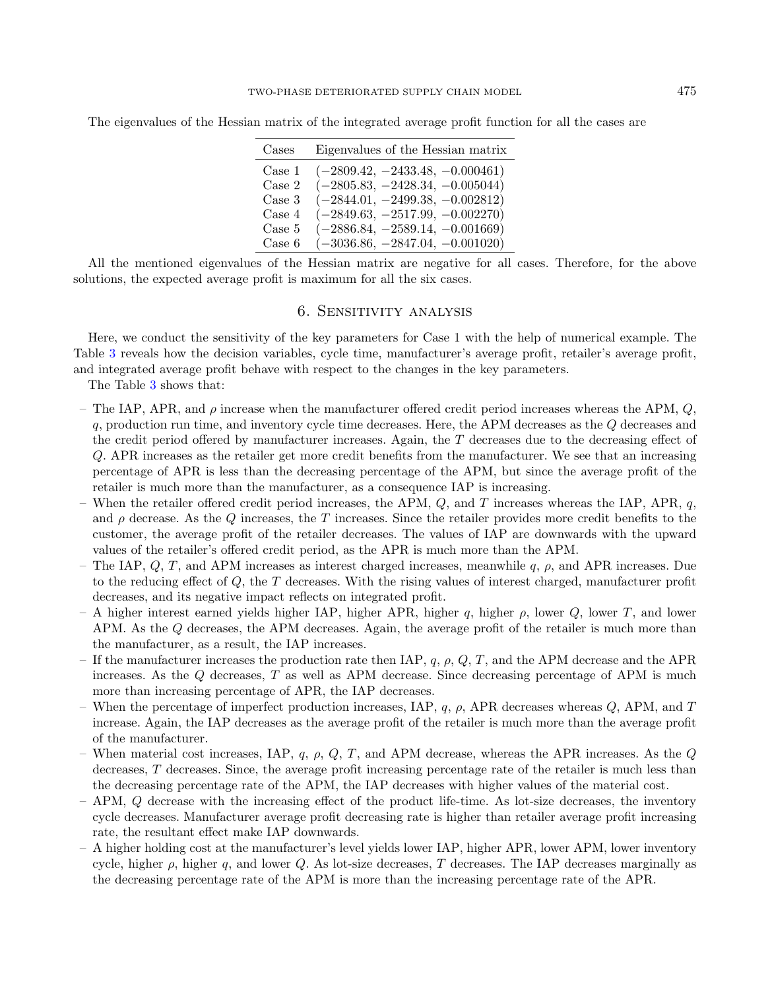| Cases  | Eigenvalues of the Hessian matrix |
|--------|-----------------------------------|
| Case 1 | $(-2809.42, -2433.48, -0.000461)$ |
| Case 2 | $(-2805.83, -2428.34, -0.005044)$ |
| Case 3 | $(-2844.01, -2499.38, -0.002812)$ |
| Case 4 | $(-2849.63, -2517.99, -0.002270)$ |
| Case 5 | $(-2886.84, -2589.14, -0.001669)$ |
| Case 6 | $(-3036.86, -2847.04, -0.001020)$ |

The eigenvalues of the Hessian matrix of the integrated average profit function for all the cases are

All the mentioned eigenvalues of the Hessian matrix are negative for all cases. Therefore, for the above solutions, the expected average profit is maximum for all the six cases.

## 6. Sensitivity analysis

<span id="page-18-0"></span>Here, we conduct the sensitivity of the key parameters for Case 1 with the help of numerical example. The Table [3](#page-19-0) reveals how the decision variables, cycle time, manufacturer's average profit, retailer's average profit, and integrated average profit behave with respect to the changes in the key parameters.

The Table [3](#page-19-0) shows that:

- The IAP, APR, and  $\rho$  increase when the manufacturer offered credit period increases whereas the APM, Q, q, production run time, and inventory cycle time decreases. Here, the APM decreases as the Q decreases and the credit period offered by manufacturer increases. Again, the T decreases due to the decreasing effect of Q. APR increases as the retailer get more credit benefits from the manufacturer. We see that an increasing percentage of APR is less than the decreasing percentage of the APM, but since the average profit of the retailer is much more than the manufacturer, as a consequence IAP is increasing.
- When the retailer offered credit period increases, the APM,  $Q$ , and T increases whereas the IAP, APR, q, and  $\rho$  decrease. As the Q increases, the T increases. Since the retailer provides more credit benefits to the customer, the average profit of the retailer decreases. The values of IAP are downwards with the upward values of the retailer's offered credit period, as the APR is much more than the APM.
- The IAP,  $Q, T$ , and APM increases as interest charged increases, meanwhile q,  $\rho$ , and APR increases. Due to the reducing effect of Q, the T decreases. With the rising values of interest charged, manufacturer profit decreases, and its negative impact reflects on integrated profit.
- A higher interest earned yields higher IAP, higher APR, higher q, higher  $\rho$ , lower  $Q$ , lower  $T$ , and lower APM. As the Q decreases, the APM decreases. Again, the average profit of the retailer is much more than the manufacturer, as a result, the IAP increases.
- If the manufacturer increases the production rate then IAP,  $q$ ,  $\rho$ ,  $Q$ ,  $T$ , and the APM decrease and the APR increases. As the  $Q$  decreases,  $T$  as well as APM decrease. Since decreasing percentage of APM is much more than increasing percentage of APR, the IAP decreases.
- When the percentage of imperfect production increases, IAP,  $q$ ,  $\rho$ , APR decreases whereas  $Q$ , APM, and T increase. Again, the IAP decreases as the average profit of the retailer is much more than the average profit of the manufacturer.
- When material cost increases, IAP, q,  $\rho$ , Q, T, and APM decrease, whereas the APR increases. As the Q decreases, T decreases. Since, the average profit increasing percentage rate of the retailer is much less than the decreasing percentage rate of the APM, the IAP decreases with higher values of the material cost.
- APM, Q decrease with the increasing effect of the product life-time. As lot-size decreases, the inventory cycle decreases. Manufacturer average profit decreasing rate is higher than retailer average profit increasing rate, the resultant effect make IAP downwards.
- A higher holding cost at the manufacturer's level yields lower IAP, higher APR, lower APM, lower inventory cycle, higher  $\rho$ , higher q, and lower Q. As lot-size decreases, T decreases. The IAP decreases marginally as the decreasing percentage rate of the APM is more than the increasing percentage rate of the APR.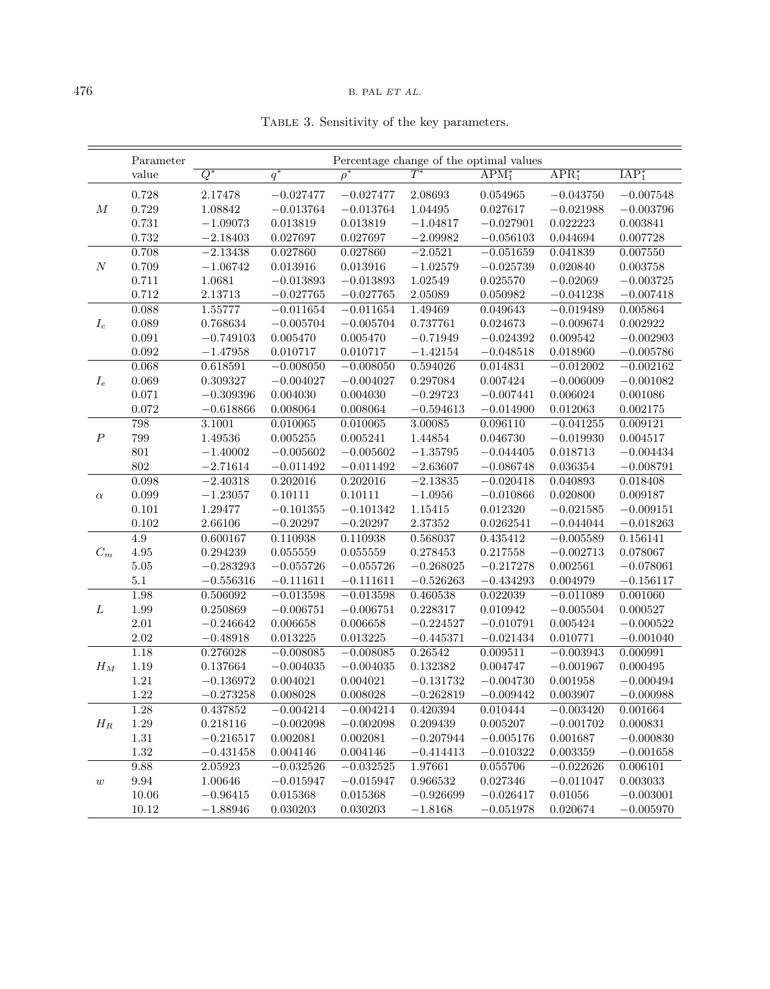<span id="page-19-0"></span>

|  |  | TABLE 3. Sensitivity of the key parameters. |
|--|--|---------------------------------------------|
|  |  |                                             |

|                  | Parameter   |                      |                            | Percentage change of the optimal values |                      |                      |                            |                                  |
|------------------|-------------|----------------------|----------------------------|-----------------------------------------|----------------------|----------------------|----------------------------|----------------------------------|
|                  | value       | $Q^*$                | $q^*$                      | $\rho^*$                                | $\overline{T^*}$     | $APM_1^*$            | $APR1*$                    | $IAP_1^*$                        |
|                  | 0.728       | 2.17478              | $-0.027477$                | $-0.027477$                             | 2.08693              | 0.054965             | $-0.043750$                | $-0.007548$                      |
| $\cal M$         | 0.729       | 1.08842              | $-0.013764$                | $-0.013764$                             | 1.04495              | 0.027617             | $-0.021988$                | $-0.003796$                      |
|                  | 0.731       | $-1.09073$           | 0.013819                   | 0.013819                                | $-1.04817$           | $-0.027901$          | 0.022223                   | $\, 0.003841 \,$                 |
|                  | 0.732       | $-2.18403$           | 0.027697                   | 0.027697                                | $-2.09982$           | $-0.056103$          | 0.044694                   | 0.007728                         |
|                  | 0.708       | $-2.13438$           | 0.027860                   | 0.027860                                | $-2.0521$            | $-0.051659$          | 0.041839                   | 0.007550                         |
| $\boldsymbol{N}$ | 0.709       | $-1.06742$           | 0.013916                   | 0.013916                                | $-1.02579$           | $-0.025739$          | 0.020840                   | 0.003758                         |
|                  | 0.711       | 1.0681               | $-0.013893$                | $-0.013893$                             | 1.02549              | 0.025570             | $-0.02069$                 | $-0.003725$                      |
|                  | 0.712       | 2.13713              | $-0.027765$                | $-0.027765$                             | 2.05089              | $\,0.050982\,$       | $-0.041238$                | $-0.007418$                      |
|                  | 0.088       | 1.55777              | $-0.011654$                | $-0.011654$                             | 1.49469              | 0.049643             | $-0.019489$                | 0.005864                         |
| $I_c$            | 0.089       | 0.768634             | $-0.005704$                | $-0.005704$                             | 0.737761             | 0.024673             | $-0.009674$                | 0.002922                         |
|                  | 0.091       | $-0.749103$          | 0.005470                   | 0.005470                                | $-0.71949$           | $-0.024392$          | 0.009542                   | $-0.002903$                      |
|                  | 0.092       | $-1.47958$           | 0.010717                   | 0.010717                                | $-1.42154$           | $-0.048518$          | 0.018960                   | $-0.005786$                      |
|                  | 0.068       | 0.618591             | $-0.008050$                | $-0.008050$                             | 0.594026             | 0.014831             | $-0.012002$                | $-0.002162$                      |
| $\mathcal{I}_e$  | 0.069       | 0.309327             | $-0.004027$                | $-0.004027$                             | 0.297084             | 0.007424             | $-0.006009$                | $-0.001082$                      |
|                  | 0.071       | $-0.309396$          | 0.004030                   | 0.004030                                | $-0.29723$           | $-0.007441$          | 0.006024                   | 0.001086                         |
|                  | 0.072       | $-0.618866$          | 0.008064                   | 0.008064                                | $-0.594613$          | $-0.014900$          | 0.012063                   | $0.002175\,$                     |
|                  | 798         | 3.1001               | 0.010065                   | 0.010065                                | 3.00085              | 0.096110             | $-0.041255$                | 0.009121                         |
| $\boldsymbol{P}$ | 799         | 1.49536              | 0.005255                   | 0.005241                                | 1.44854              | 0.046730             | $-0.019930$                | 0.004517                         |
|                  | 801         | $-1.40002$           | $-0.005602$                | $-0.005602$                             | $-1.35795$           | $-0.044405$          | 0.018713                   | $-0.004434$                      |
|                  | 802         | $-2.71614$           | $-0.011492$                | $-0.011492$                             | $-2.63607$           | $-0.086748$          | 0.036354                   | $-0.008791$                      |
|                  | 0.098       | $-2.40318$           | 0.202016                   | 0.202016                                | $-2.13835$           | $-0.020418$          | 0.040893                   | 0.018408                         |
| $\alpha$         | 0.099       | $-1.23057$           | 0.10111                    | 0.10111                                 | $-1.0956$            | $-0.010866$          | 0.020800                   | 0.009187                         |
|                  | 0.101       | 1.29477              | $-0.101355$                | $-0.101342$                             | 1.15415              | 0.012320             | $-0.021585$                | $-0.009151$                      |
|                  | 0.102       | 2.66106              | $-0.20297$                 | $-0.20297$                              | $2.37352\,$          | 0.0262541            | $-0.044044$                | $-0.018263$                      |
|                  | 4.9         | 0.600167             | 0.110938                   | 0.110938                                | 0.568037             | 0.435412             | $-0.005589$                | 0.156141                         |
| $C_m$            | 4.95        | 0.294239             | 0.055559                   | 0.055559                                | 0.278453             | 0.217558             | $-0.002713$                | 0.078067                         |
|                  | $5.05\,$    | $-0.283293$          | $-0.055726$                | $-0.055726$                             | $-0.268025$          | $-0.217278$          | 0.002561<br>0.004979       | $-0.078061$                      |
|                  | 5.1<br>1.98 | $-0.556316$          | $-0.111611$                | $-0.111611$                             | $-0.526263$          | $-0.434293$          |                            | $-0.156117$                      |
| L                | 1.99        | 0.506092<br>0.250869 | $-0.013598$<br>$-0.006751$ | $-0.013598$<br>$-0.006751$              | 0.460538<br>0.228317 | 0.022039<br>0.010942 | $-0.011089$<br>$-0.005504$ | 0.001060<br>$\!\!\!\!\!0.000527$ |
|                  | $2.01\,$    | $-0.246642$          | 0.006658                   | 0.006658                                | $-0.224527$          | $-0.010791$          | 0.005424                   | $-0.000522$                      |
|                  | 2.02        | $-0.48918$           | 0.013225                   | 0.013225                                | $-0.445371$          | $-0.021434$          | 0.010771                   | $-0.001040$                      |
|                  | 1.18        | 0.276028             | $-0.008085$                | $-0.008085$                             | 0.26542              | 0.009511             | $-0.003943$                | 0.000991                         |
| $H_M$            | 1.19        | 0.137664             | $-0.004035$                | $-0.004035$                             | 0.132382             | 0.004747             | $-0.001967$                | 0.000495                         |
|                  | $1.21\,$    | $-0.136972$          | 0.004021                   | 0.004021                                | $-0.131732$          | $-0.004730$          | 0.001958                   | $-0.000494$                      |
|                  | 1.22        | $-0.273258$          | 0.008028                   | 0.008028                                | $-0.262819$          | $-0.009442$          | 0.003907                   | $-0.000988$                      |
|                  | 1.28        | 0.437852             | $-0.004214$                | $-0.004214$                             | 0.420394             | 0.010444             | $-0.003420$                | 0.001664                         |
| $H_R$            | 1.29        | 0.218116             | $-0.002098$                | $-0.002098$                             | 0.209439             | 0.005207             | $-0.001702$                | 0.000831                         |
|                  | $1.31\,$    | $-0.216517$          | 0.002081                   | 0.002081                                | $-0.207944$          | $-0.005176$          | 0.001687                   | $-0.000830$                      |
|                  | 1.32        | $-0.431458$          | 0.004146                   | 0.004146                                | $-0.414413$          | $-0.010322$          | 0.003359                   | $-0.001658$                      |
|                  | 9.88        | 2.05923              | $-0.032526$                | $-0.032525$                             | 1.97661              | 0.055706             | $-0.022626$                | 0.006101                         |
| $\boldsymbol{w}$ | 9.94        | 1.00646              | $-0.015947$                | $-0.015947$                             | 0.966532             | 0.027346             | $-0.011047$                | $\, 0.003033\,$                  |
|                  | 10.06       | $-0.96415$           | 0.015368                   | $\, 0.015368\,$                         | $-0.926699$          | $-0.026417$          | 0.01056                    | $-0.003001$                      |
|                  | 10.12       | $-1.88946$           | $0.030203\,$               | 0.030203                                | $-1.8168$            | $-0.051978$          | 0.020674                   | $-0.005970$                      |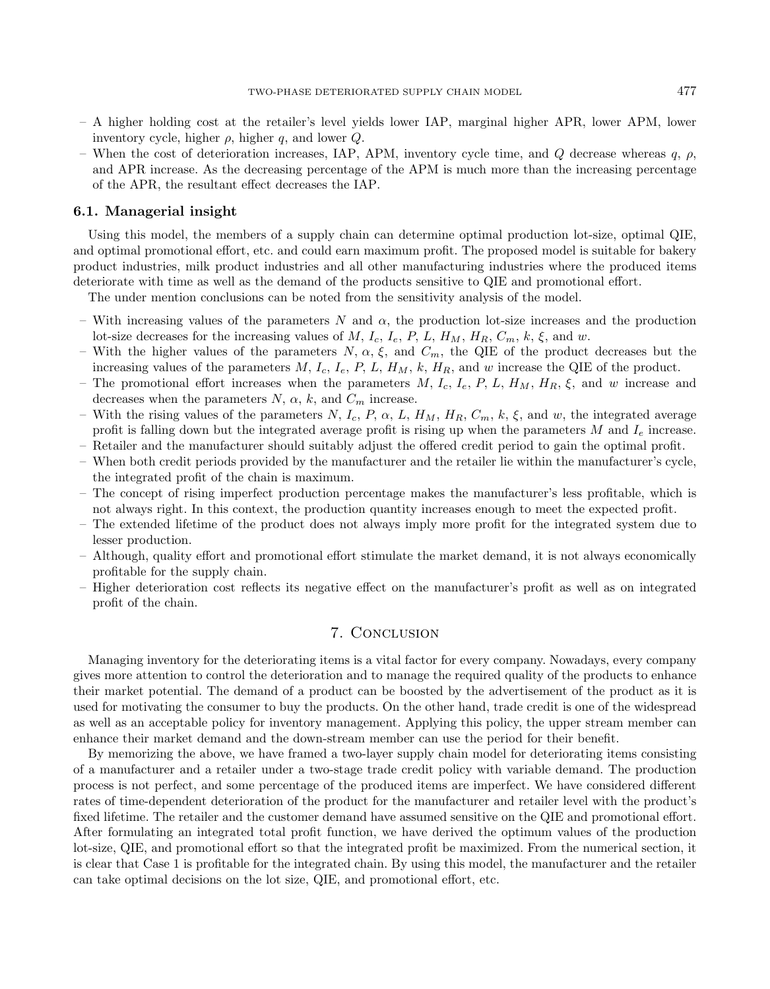- A higher holding cost at the retailer's level yields lower IAP, marginal higher APR, lower APM, lower inventory cycle, higher  $\rho$ , higher q, and lower  $Q$ .
- When the cost of deterioration increases, IAP, APM, inventory cycle time, and Q decrease whereas q,  $\rho$ , and APR increase. As the decreasing percentage of the APM is much more than the increasing percentage of the APR, the resultant effect decreases the IAP.

## 6.1. Managerial insight

Using this model, the members of a supply chain can determine optimal production lot-size, optimal QIE, and optimal promotional effort, etc. and could earn maximum profit. The proposed model is suitable for bakery product industries, milk product industries and all other manufacturing industries where the produced items deteriorate with time as well as the demand of the products sensitive to QIE and promotional effort.

The under mention conclusions can be noted from the sensitivity analysis of the model.

- With increasing values of the parameters N and  $\alpha$ , the production lot-size increases and the production lot-size decreases for the increasing values of M, I<sub>c</sub>, I<sub>e</sub>, P, L, H<sub>M</sub>, H<sub>R</sub>, C<sub>m</sub>, k,  $\xi$ , and w.
- With the higher values of the parameters  $N, \alpha, \xi$ , and  $C_m$ , the QIE of the product decreases but the increasing values of the parameters  $M$ ,  $I_c$ ,  $I_e$ ,  $P$ ,  $L$ ,  $H_M$ ,  $k$ ,  $H_R$ , and w increase the QIE of the product.
- The promotional effort increases when the parameters  $M, I_c, I_e, P, L, H_M, H_R, \xi$ , and w increase and decreases when the parameters  $N$ ,  $\alpha$ ,  $k$ , and  $C_m$  increase.
- With the rising values of the parameters N, I<sub>c</sub>, P,  $\alpha$ , L, H<sub>M</sub>, H<sub>R</sub>, C<sub>m</sub>, k,  $\xi$ , and w, the integrated average profit is falling down but the integrated average profit is rising up when the parameters M and  $I_e$  increase.
- Retailer and the manufacturer should suitably adjust the offered credit period to gain the optimal profit.
- When both credit periods provided by the manufacturer and the retailer lie within the manufacturer's cycle, the integrated profit of the chain is maximum.
- The concept of rising imperfect production percentage makes the manufacturer's less profitable, which is not always right. In this context, the production quantity increases enough to meet the expected profit.
- The extended lifetime of the product does not always imply more profit for the integrated system due to lesser production.
- Although, quality effort and promotional effort stimulate the market demand, it is not always economically profitable for the supply chain.
- Higher deterioration cost reflects its negative effect on the manufacturer's profit as well as on integrated profit of the chain.

## 7. Conclusion

<span id="page-20-0"></span>Managing inventory for the deteriorating items is a vital factor for every company. Nowadays, every company gives more attention to control the deterioration and to manage the required quality of the products to enhance their market potential. The demand of a product can be boosted by the advertisement of the product as it is used for motivating the consumer to buy the products. On the other hand, trade credit is one of the widespread as well as an acceptable policy for inventory management. Applying this policy, the upper stream member can enhance their market demand and the down-stream member can use the period for their benefit.

By memorizing the above, we have framed a two-layer supply chain model for deteriorating items consisting of a manufacturer and a retailer under a two-stage trade credit policy with variable demand. The production process is not perfect, and some percentage of the produced items are imperfect. We have considered different rates of time-dependent deterioration of the product for the manufacturer and retailer level with the product's fixed lifetime. The retailer and the customer demand have assumed sensitive on the QIE and promotional effort. After formulating an integrated total profit function, we have derived the optimum values of the production lot-size, QIE, and promotional effort so that the integrated profit be maximized. From the numerical section, it is clear that Case 1 is profitable for the integrated chain. By using this model, the manufacturer and the retailer can take optimal decisions on the lot size, QIE, and promotional effort, etc.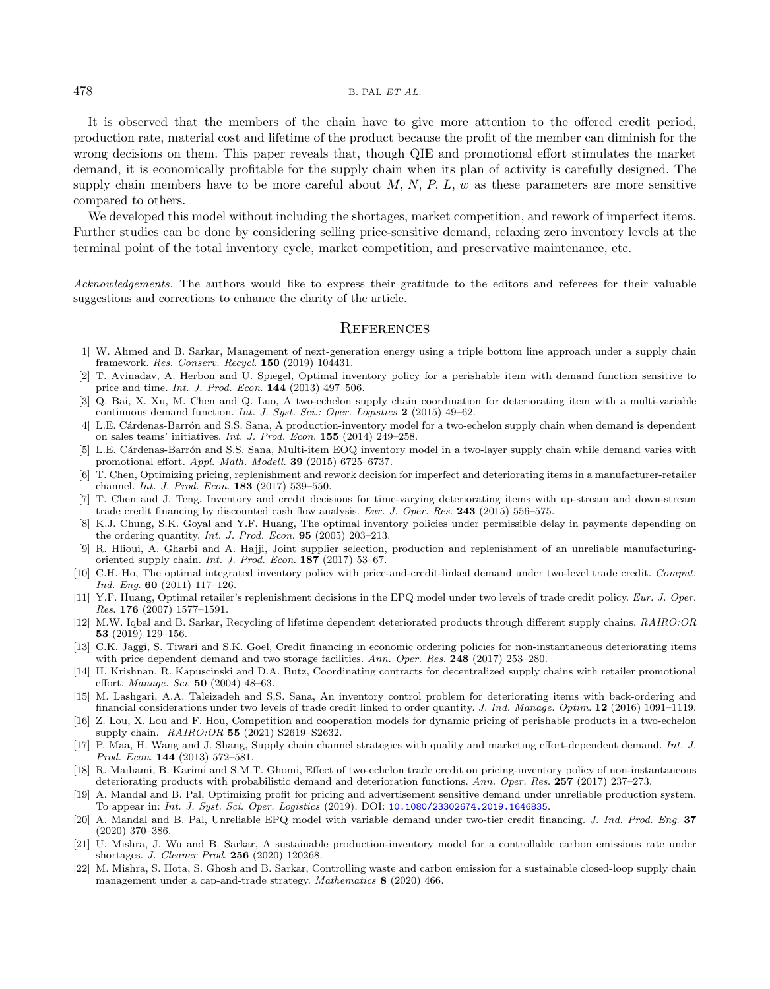<span id="page-21-16"></span>It is observed that the members of the chain have to give more attention to the offered credit period, production rate, material cost and lifetime of the product because the profit of the member can diminish for the wrong decisions on them. This paper reveals that, though QIE and promotional effort stimulates the market demand, it is economically profitable for the supply chain when its plan of activity is carefully designed. The supply chain members have to be more careful about  $M$ ,  $N$ ,  $P$ ,  $L$ ,  $w$  as these parameters are more sensitive compared to others.

<span id="page-21-11"></span><span id="page-21-6"></span><span id="page-21-4"></span>We developed this model without including the shortages, market competition, and rework of imperfect items. Further studies can be done by considering selling price-sensitive demand, relaxing zero inventory levels at the terminal point of the total inventory cycle, market competition, and preservative maintenance, etc.

<span id="page-21-14"></span><span id="page-21-12"></span><span id="page-21-7"></span>Acknowledgements. The authors would like to express their gratitude to the editors and referees for their valuable suggestions and corrections to enhance the clarity of the article.

## **REFERENCES**

- <span id="page-21-15"></span><span id="page-21-1"></span>[1] W. Ahmed and B. Sarkar, Management of next-generation energy using a triple bottom line approach under a supply chain framework. Res. Conserv. Recycl. 150 (2019) 104431.
- <span id="page-21-3"></span>[2] T. Avinadav, A. Herbon and U. Spiegel, Optimal inventory policy for a perishable item with demand function sensitive to price and time. Int. J. Prod. Econ. 144 (2013) 497–506.
- <span id="page-21-2"></span>[3] Q. Bai, X. Xu, M. Chen and Q. Luo, A two-echelon supply chain coordination for deteriorating item with a multi-variable continuous demand function. Int. J. Syst. Sci.: Oper. Logistics 2 (2015) 49–62.
- [4] L.E. Cárdenas-Barrón and S.S. Sana, A production-inventory model for a two-echelon supply chain when demand is dependent on sales teams' initiatives. Int. J. Prod. Econ. 155 (2014) 249–258.
- <span id="page-21-17"></span>[5] L.E. Cárdenas-Barrón and S.S. Sana, Multi-item EOQ inventory model in a two-layer supply chain while demand varies with promotional effort. Appl. Math. Modell. 39 (2015) 6725–6737.
- <span id="page-21-8"></span>[6] T. Chen, Optimizing pricing, replenishment and rework decision for imperfect and deteriorating items in a manufacturer-retailer channel. Int. J. Prod. Econ. 183 (2017) 539–550.
- <span id="page-21-0"></span>[7] T. Chen and J. Teng, Inventory and credit decisions for time-varying deteriorating items with up-stream and down-stream trade credit financing by discounted cash flow analysis. Eur. J. Oper. Res. 243 (2015) 556–575.
- <span id="page-21-19"></span><span id="page-21-13"></span>[8] K.J. Chung, S.K. Goyal and Y.F. Huang, The optimal inventory policies under permissible delay in payments depending on the ordering quantity. Int. J. Prod. Econ. 95 (2005) 203–213.
- <span id="page-21-5"></span>[9] R. Hlioui, A. Gharbi and A. Hajji, Joint supplier selection, production and replenishment of an unreliable manufacturingoriented supply chain. Int. J. Prod. Econ. 187 (2017) 53–67.
- <span id="page-21-9"></span>[10] C.H. Ho, The optimal integrated inventory policy with price-and-credit-linked demand under two-level trade credit. Comput. Ind. Eng. 60 (2011) 117–126.
- <span id="page-21-18"></span>[11] Y.F. Huang, Optimal retailer's replenishment decisions in the EPQ model under two levels of trade credit policy. Eur. J. Oper. Res. 176 (2007) 1577–1591.
- <span id="page-21-10"></span>[12] M.W. Iqbal and B. Sarkar, Recycling of lifetime dependent deteriorated products through different supply chains. RAIRO:OR 53 (2019) 129–156.
- <span id="page-21-21"></span>[13] C.K. Jaggi, S. Tiwari and S.K. Goel, Credit financing in economic ordering policies for non-instantaneous deteriorating items with price dependent demand and two storage facilities. Ann. Oper. Res. 248 (2017) 253-280.
- <span id="page-21-20"></span>[14] H. Krishnan, R. Kapuscinski and D.A. Butz, Coordinating contracts for decentralized supply chains with retailer promotional effort. Manage. Sci. 50 (2004) 48–63.
- [15] M. Lashgari, A.A. Taleizadeh and S.S. Sana, An inventory control problem for deteriorating items with back-ordering and financial considerations under two levels of trade credit linked to order quantity. J. Ind. Manage. Optim. 12 (2016) 1091–1119.
- [16] Z. Lou, X. Lou and F. Hou, Competition and cooperation models for dynamic pricing of perishable products in a two-echelon supply chain. RAIRO:OR 55 (2021) S2619–S2632.
- [17] P. Maa, H. Wang and J. Shang, Supply chain channel strategies with quality and marketing effort-dependent demand. Int. J. Prod. Econ. 144 (2013) 572–581.
- [18] R. Maihami, B. Karimi and S.M.T. Ghomi, Effect of two-echelon trade credit on pricing-inventory policy of non-instantaneous deteriorating products with probabilistic demand and deterioration functions. Ann. Oper. Res. 257 (2017) 237–273.
- [19] A. Mandal and B. Pal, Optimizing profit for pricing and advertisement sensitive demand under unreliable production system. To appear in: Int. J. Syst. Sci. Oper. Logistics (2019). DOI: [10.1080/23302674.2019.1646835](https://doi.org/10.1080/23302674.2019.1646835).
- [20] A. Mandal and B. Pal, Unreliable EPQ model with variable demand under two-tier credit financing. J. Ind. Prod. Eng. 37 (2020) 370–386.
- [21] U. Mishra, J. Wu and B. Sarkar, A sustainable production-inventory model for a controllable carbon emissions rate under shortages. J. Cleaner Prod. 256 (2020) 120268.
- [22] M. Mishra, S. Hota, S. Ghosh and B. Sarkar, Controlling waste and carbon emission for a sustainable closed-loop supply chain management under a cap-and-trade strategy. Mathematics 8 (2020) 466.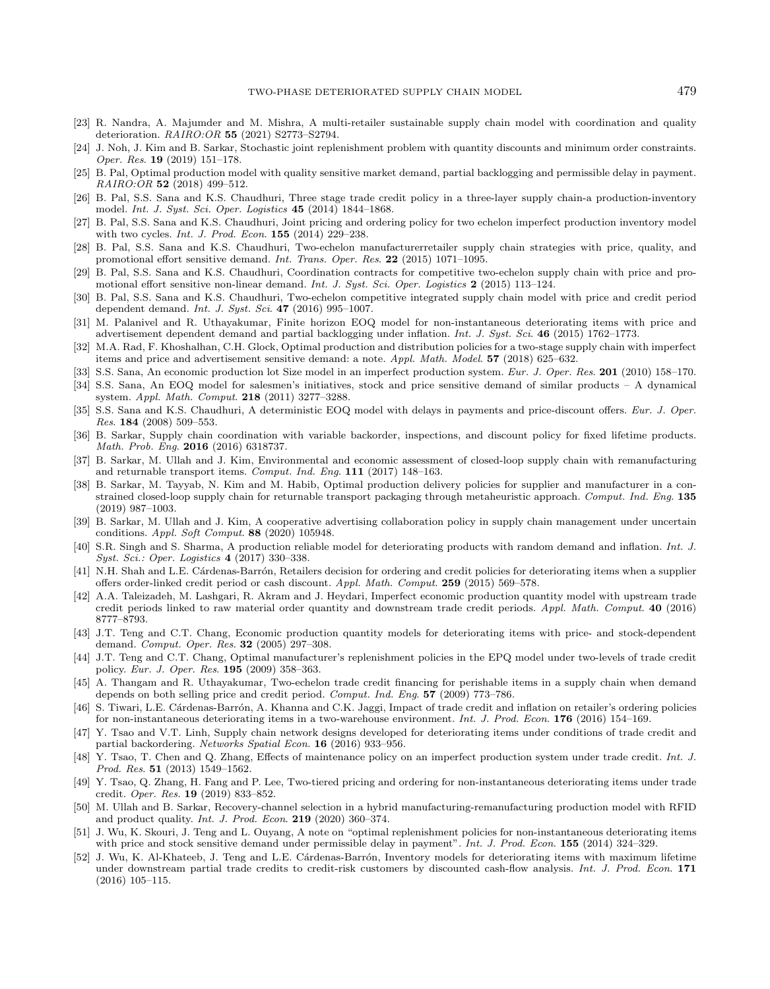- <span id="page-22-25"></span><span id="page-22-24"></span><span id="page-22-21"></span><span id="page-22-20"></span><span id="page-22-18"></span><span id="page-22-15"></span><span id="page-22-7"></span><span id="page-22-6"></span>[23] R. Nandra, A. Majumder and M. Mishra, A multi-retailer sustainable supply chain model with coordination and quality deterioration. RAIRO:OR 55 (2021) S2773–S2794.
- <span id="page-22-8"></span>[24] J. Noh, J. Kim and B. Sarkar, Stochastic joint replenishment problem with quantity discounts and minimum order constraints. Oper. Res. 19 (2019) 151–178.
- <span id="page-22-23"></span>[25] B. Pal, Optimal production model with quality sensitive market demand, partial backlogging and permissible delay in payment. RAIRO:OR 52 (2018) 499–512.
- <span id="page-22-4"></span><span id="page-22-3"></span>[26] B. Pal, S.S. Sana and K.S. Chaudhuri, Three stage trade credit policy in a three-layer supply chain-a production-inventory model. Int. J. Syst. Sci. Oper. Logistics 45 (2014) 1844–1868.
- <span id="page-22-0"></span>[27] B. Pal, S.S. Sana and K.S. Chaudhuri, Joint pricing and ordering policy for two echelon imperfect production inventory model with two cycles. Int. J. Prod. Econ. 155 (2014) 229–238.
- <span id="page-22-28"></span>[28] B. Pal, S.S. Sana and K.S. Chaudhuri, Two-echelon manufacturerretailer supply chain strategies with price, quality, and promotional effort sensitive demand. Int. Trans. Oper. Res. 22 (2015) 1071–1095.
- <span id="page-22-22"></span>[29] B. Pal, S.S. Sana and K.S. Chaudhuri, Coordination contracts for competitive two-echelon supply chain with price and promotional effort sensitive non-linear demand. Int. J. Syst. Sci. Oper. Logistics 2 (2015) 113–124.
- <span id="page-22-29"></span>[30] B. Pal, S.S. Sana and K.S. Chaudhuri, Two-echelon competitive integrated supply chain model with price and credit period dependent demand. Int. J. Syst. Sci. 47 (2016) 995–1007.
- [31] M. Palanivel and R. Uthayakumar, Finite horizon EOQ model for non-instantaneous deteriorating items with price and advertisement dependent demand and partial backlogging under inflation. Int. J. Syst. Sci. 46 (2015) 1762–1773.
- <span id="page-22-26"></span>[32] M.A. Rad, F. Khoshalhan, C.H. Glock, Optimal production and distribution policies for a two-stage supply chain with imperfect items and price and advertisement sensitive demand: a note. Appl. Math. Model. 57 (2018) 625–632.
- <span id="page-22-14"></span>[33] S.S. Sana, An economic production lot Size model in an imperfect production system. Eur. J. Oper. Res. 201 (2010) 158–170.
- <span id="page-22-9"></span>[34] S.S. Sana, An EOQ model for salesmen's initiatives, stock and price sensitive demand of similar products – A dynamical system. Appl. Math. Comput. 218 (2011) 3277–3288.
- <span id="page-22-10"></span>[35] S.S. Sana and K.S. Chaudhuri, A deterministic EOQ model with delays in payments and price-discount offers. Eur. J. Oper. Res. 184 (2008) 509–553.
- [36] B. Sarkar, Supply chain coordination with variable backorder, inspections, and discount policy for fixed lifetime products. Math. Prob. Eng. 2016 (2016) 6318737.
- <span id="page-22-17"></span>[37] B. Sarkar, M. Ullah and J. Kim, Environmental and economic assessment of closed-loop supply chain with remanufacturing and returnable transport items. Comput. Ind. Eng. 111 (2017) 148–163.
- <span id="page-22-2"></span><span id="page-22-1"></span>[38] B. Sarkar, M. Tayyab, N. Kim and M. Habib, Optimal production delivery policies for supplier and manufacturer in a constrained closed-loop supply chain for returnable transport packaging through metaheuristic approach. Comput. Ind. Eng. 135 (2019) 987–1003.
- <span id="page-22-11"></span>[39] B. Sarkar, M. Ullah and J. Kim, A cooperative advertising collaboration policy in supply chain management under uncertain conditions. Appl. Soft Comput. 88 (2020) 105948.
- <span id="page-22-12"></span>[40] S.R. Singh and S. Sharma, A production reliable model for deteriorating products with random demand and inflation. Int. J. Syst. Sci.: Oper. Logistics 4 (2017) 330–338.
- <span id="page-22-5"></span>[41] N.H. Shah and L.E. Cárdenas-Barrón, Retailers decision for ordering and credit policies for deteriorating items when a supplier offers order-linked credit period or cash discount. Appl. Math. Comput. 259 (2015) 569–578.
- <span id="page-22-16"></span>[42] A.A. Taleizadeh, M. Lashgari, R. Akram and J. Heydari, Imperfect economic production quantity model with upstream trade credit periods linked to raw material order quantity and downstream trade credit periods. Appl. Math. Comput. 40 (2016) 8777–8793.
- <span id="page-22-27"></span>[43] J.T. Teng and C.T. Chang, Economic production quantity models for deteriorating items with price- and stock-dependent demand. Comput. Oper. Res. 32 (2005) 297–308.
- <span id="page-22-19"></span>[44] J.T. Teng and C.T. Chang, Optimal manufacturer's replenishment policies in the EPQ model under two-levels of trade credit policy. Eur. J. Oper. Res. 195 (2009) 358–363.
- <span id="page-22-13"></span>[45] A. Thangam and R. Uthayakumar, Two-echelon trade credit financing for perishable items in a supply chain when demand depends on both selling price and credit period. Comput. Ind. Eng. 57 (2009) 773–786.
- [46] S. Tiwari, L.E. Cárdenas-Barrón, A. Khanna and C.K. Jaggi, Impact of trade credit and inflation on retailer's ordering policies for non-instantaneous deteriorating items in a two-warehouse environment. Int. J. Prod. Econ. 176 (2016) 154–169.
- [47] Y. Tsao and V.T. Linh, Supply chain network designs developed for deteriorating items under conditions of trade credit and partial backordering. Networks Spatial Econ. 16 (2016) 933–956.
- [48] Y. Tsao, T. Chen and Q. Zhang, Effects of maintenance policy on an imperfect production system under trade credit. Int. J. Prod. Res. 51 (2013) 1549–1562.
- [49] Y. Tsao, Q. Zhang, H. Fang and P. Lee, Two-tiered pricing and ordering for non-instantaneous deteriorating items under trade credit. Oper. Res. 19 (2019) 833–852.
- [50] M. Ullah and B. Sarkar, Recovery-channel selection in a hybrid manufacturing-remanufacturing production model with RFID and product quality. Int. J. Prod. Econ. 219 (2020) 360–374.
- [51] J. Wu, K. Skouri, J. Teng and L. Ouyang, A note on "optimal replenishment policies for non-instantaneous deteriorating items with price and stock sensitive demand under permissible delay in payment". Int. J. Prod. Econ. 155 (2014) 324-329.
- [52] J. Wu, K. Al-Khateeb, J. Teng and L.E. Cárdenas-Barrón, Inventory models for deteriorating items with maximum lifetime under downstream partial trade credits to credit-risk customers by discounted cash-flow analysis. Int. J. Prod. Econ. 171 (2016) 105–115.